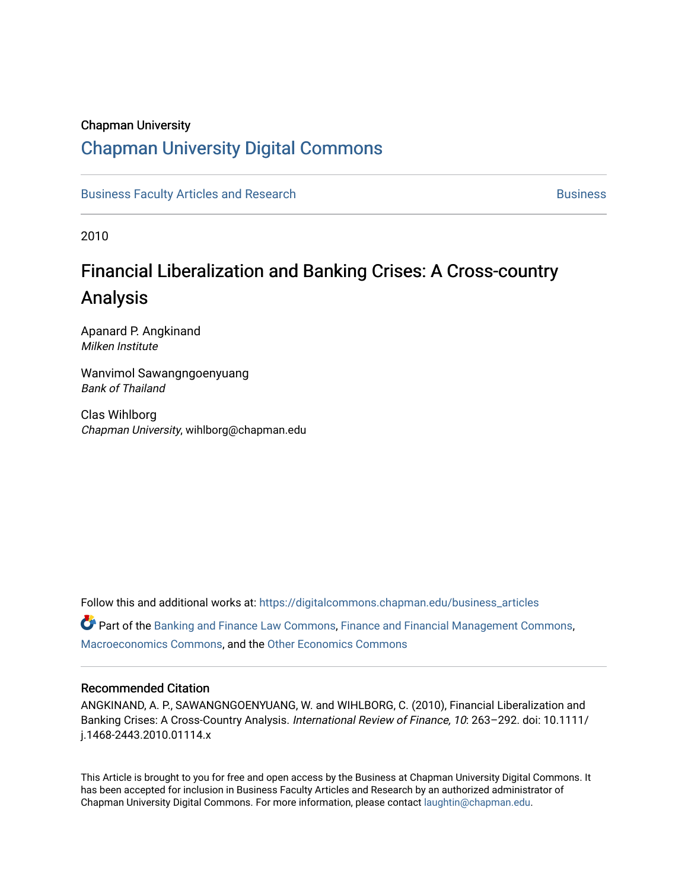#### Chapman University

### [Chapman University Digital Commons](https://digitalcommons.chapman.edu/)

[Business Faculty Articles and Research](https://digitalcommons.chapman.edu/business_articles) [Business](https://digitalcommons.chapman.edu/business) **Business** Business

2010

# Financial Liberalization and Banking Crises: A Cross-country Analysis

Apanard P. Angkinand Milken Institute

Wanvimol Sawangngoenyuang Bank of Thailand

Clas Wihlborg Chapman University, wihlborg@chapman.edu

Follow this and additional works at: [https://digitalcommons.chapman.edu/business\\_articles](https://digitalcommons.chapman.edu/business_articles?utm_source=digitalcommons.chapman.edu%2Fbusiness_articles%2F45&utm_medium=PDF&utm_campaign=PDFCoverPages) 

Part of the [Banking and Finance Law Commons,](http://network.bepress.com/hgg/discipline/833?utm_source=digitalcommons.chapman.edu%2Fbusiness_articles%2F45&utm_medium=PDF&utm_campaign=PDFCoverPages) [Finance and Financial Management Commons,](http://network.bepress.com/hgg/discipline/631?utm_source=digitalcommons.chapman.edu%2Fbusiness_articles%2F45&utm_medium=PDF&utm_campaign=PDFCoverPages) [Macroeconomics Commons](http://network.bepress.com/hgg/discipline/350?utm_source=digitalcommons.chapman.edu%2Fbusiness_articles%2F45&utm_medium=PDF&utm_campaign=PDFCoverPages), and the [Other Economics Commons](http://network.bepress.com/hgg/discipline/353?utm_source=digitalcommons.chapman.edu%2Fbusiness_articles%2F45&utm_medium=PDF&utm_campaign=PDFCoverPages) 

#### Recommended Citation

ANGKINAND, A. P., SAWANGNGOENYUANG, W. and WIHLBORG, C. (2010), Financial Liberalization and Banking Crises: A Cross-Country Analysis. International Review of Finance, 10: 263–292. doi: 10.1111/ j.1468-2443.2010.01114.x

This Article is brought to you for free and open access by the Business at Chapman University Digital Commons. It has been accepted for inclusion in Business Faculty Articles and Research by an authorized administrator of Chapman University Digital Commons. For more information, please contact [laughtin@chapman.edu](mailto:laughtin@chapman.edu).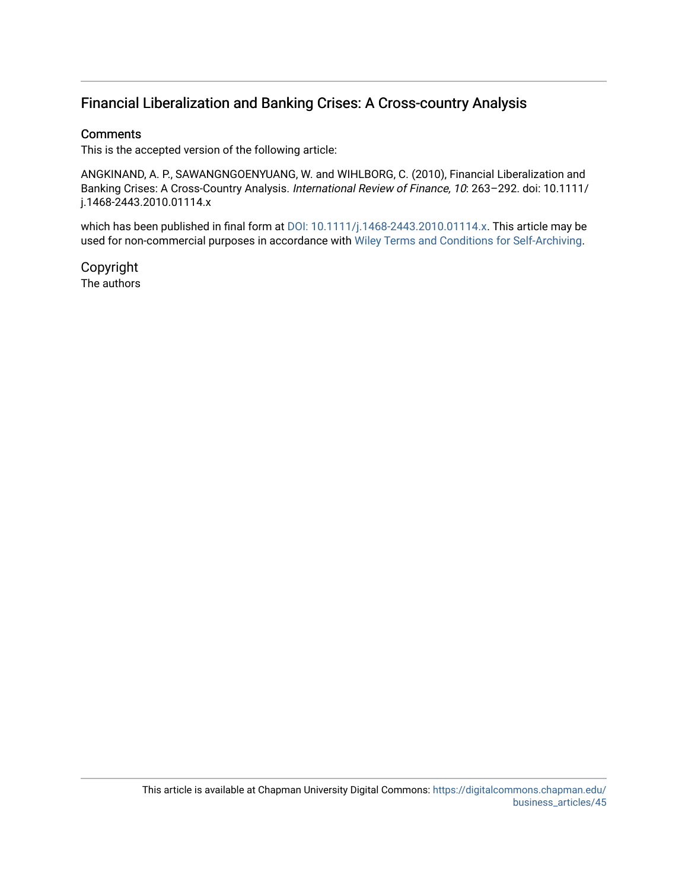### Financial Liberalization and Banking Crises: A Cross-country Analysis

#### **Comments**

This is the accepted version of the following article:

ANGKINAND, A. P., SAWANGNGOENYUANG, W. and WIHLBORG, C. (2010), Financial Liberalization and Banking Crises: A Cross-Country Analysis. International Review of Finance, 10: 263-292. doi: 10.1111/ j.1468-2443.2010.01114.x

which has been published in final form at [DOI: 10.1111/j.1468-2443.2010.01114.x](http://dx.doi.org/10.1111/j.1468-2443.2010.01114.x). This article may be used for non-commercial purposes in accordance with [Wiley Terms and Conditions for Self-Archiving](http://olabout.wiley.com/WileyCDA/Section/id-820227.html#terms).

Copyright The authors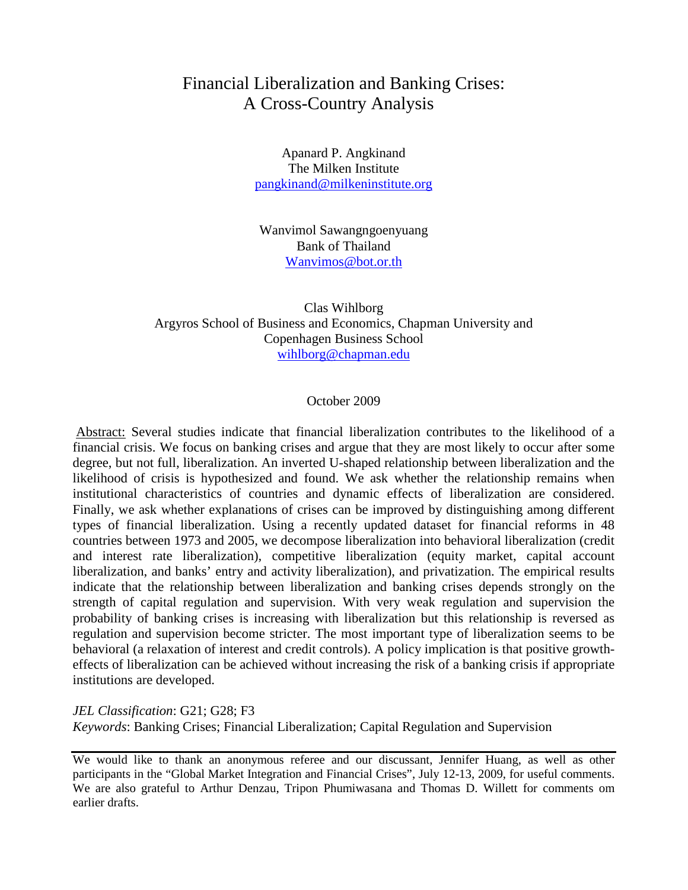### Financial Liberalization and Banking Crises: A Cross-Country Analysis

Apanard P. Angkinand The Milken Institute [pangkinand@milkeninstitute.org](mailto:pangkinand@milkeninstitute.org)

Wanvimol Sawangngoenyuang Bank of Thailand [Wanvimos@bot.or.th](mailto:Wanvimos@bot.or.th)

Clas Wihlborg Argyros School of Business and Economics, Chapman University and Copenhagen Business School [wihlborg@chapman.edu](mailto:wihlborg@chapman.edu)

#### October 2009

Abstract: Several studies indicate that financial liberalization contributes to the likelihood of a financial crisis. We focus on banking crises and argue that they are most likely to occur after some degree, but not full, liberalization. An inverted U-shaped relationship between liberalization and the likelihood of crisis is hypothesized and found. We ask whether the relationship remains when institutional characteristics of countries and dynamic effects of liberalization are considered. Finally, we ask whether explanations of crises can be improved by distinguishing among different types of financial liberalization. Using a recently updated dataset for financial reforms in 48 countries between 1973 and 2005, we decompose liberalization into behavioral liberalization (credit and interest rate liberalization), competitive liberalization (equity market, capital account liberalization, and banks' entry and activity liberalization), and privatization. The empirical results indicate that the relationship between liberalization and banking crises depends strongly on the strength of capital regulation and supervision. With very weak regulation and supervision the probability of banking crises is increasing with liberalization but this relationship is reversed as regulation and supervision become stricter. The most important type of liberalization seems to be behavioral (a relaxation of interest and credit controls). A policy implication is that positive growtheffects of liberalization can be achieved without increasing the risk of a banking crisis if appropriate institutions are developed.

*JEL Classification*: G21; G28; F3 *Keywords*: Banking Crises; Financial Liberalization; Capital Regulation and Supervision

We would like to thank an anonymous referee and our discussant, Jennifer Huang, as well as other participants in the "Global Market Integration and Financial Crises", July 12-13, 2009, for useful comments. We are also grateful to Arthur Denzau, Tripon Phumiwasana and Thomas D. Willett for comments om earlier drafts.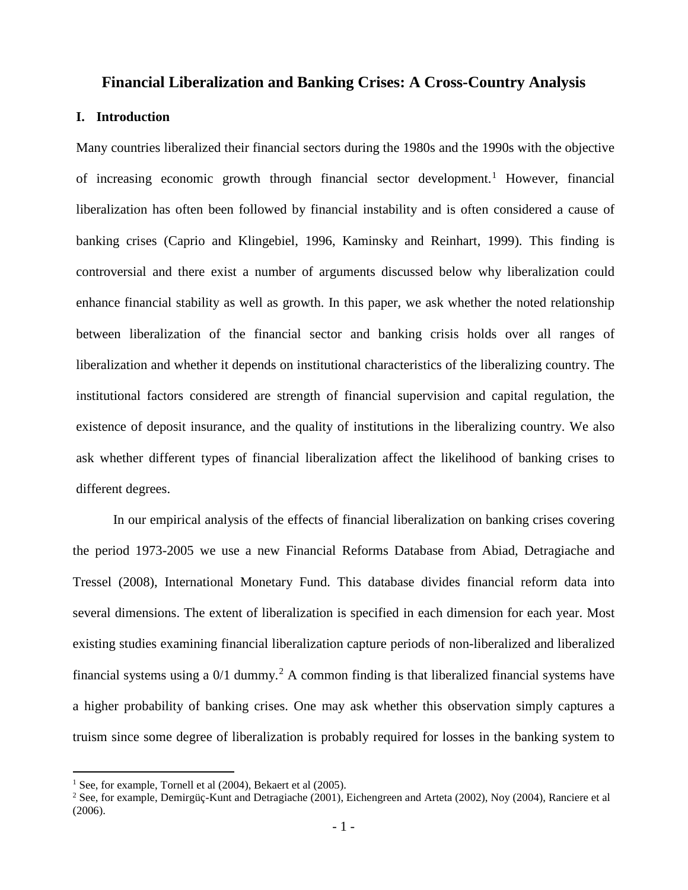#### **Financial Liberalization and Banking Crises: A Cross-Country Analysis**

#### **I. Introduction**

Many countries liberalized their financial sectors during the 1980s and the 1990s with the objective of increasing economic growth through financial sector development. [1](#page-3-0) However, financial liberalization has often been followed by financial instability and is often considered a cause of banking crises (Caprio and Klingebiel, 1996, Kaminsky and Reinhart, 1999). This finding is controversial and there exist a number of arguments discussed below why liberalization could enhance financial stability as well as growth. In this paper, we ask whether the noted relationship between liberalization of the financial sector and banking crisis holds over all ranges of liberalization and whether it depends on institutional characteristics of the liberalizing country. The institutional factors considered are strength of financial supervision and capital regulation, the existence of deposit insurance, and the quality of institutions in the liberalizing country. We also ask whether different types of financial liberalization affect the likelihood of banking crises to different degrees.

In our empirical analysis of the effects of financial liberalization on banking crises covering the period 1973-2005 we use a new Financial Reforms Database from Abiad, Detragiache and Tressel (2008), International Monetary Fund. This database divides financial reform data into several dimensions. The extent of liberalization is specified in each dimension for each year. Most existing studies examining financial liberalization capture periods of non-liberalized and liberalized financial systems using a  $0/1$  dummy.<sup>[2](#page-3-1)</sup> A common finding is that liberalized financial systems have a higher probability of banking crises. One may ask whether this observation simply captures a truism since some degree of liberalization is probably required for losses in the banking system to

<span id="page-3-0"></span><sup>&</sup>lt;sup>1</sup> See, for example, Tornell et al (2004), Bekaert et al (2005).

<span id="page-3-1"></span><sup>&</sup>lt;sup>2</sup> See, for example, Demirgüç-Kunt and Detragiache (2001), Eichengreen and Arteta (2002), Noy (2004), Ranciere et al (2006).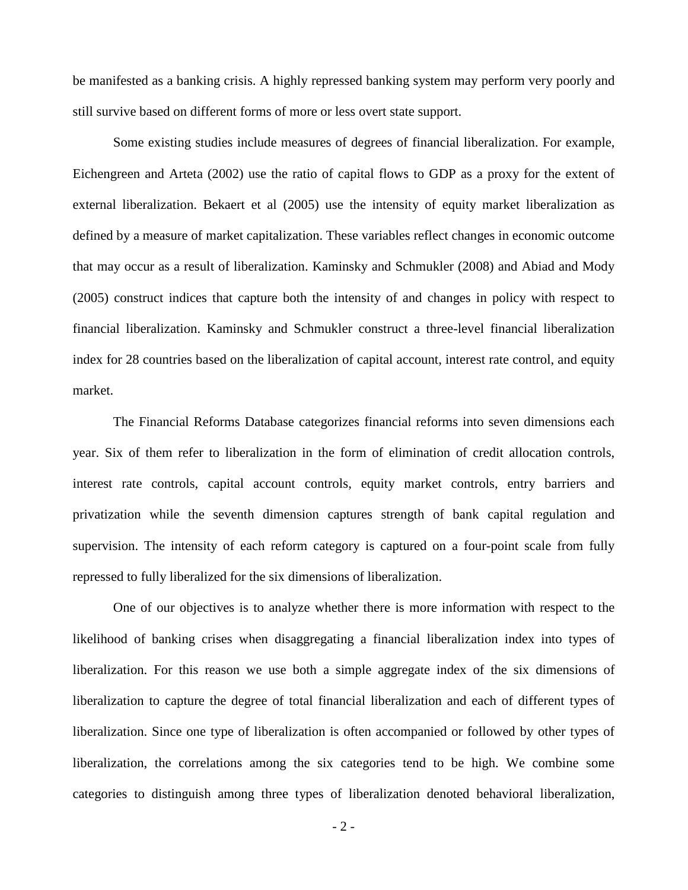be manifested as a banking crisis. A highly repressed banking system may perform very poorly and still survive based on different forms of more or less overt state support.

Some existing studies include measures of degrees of financial liberalization. For example, Eichengreen and Arteta (2002) use the ratio of capital flows to GDP as a proxy for the extent of external liberalization. Bekaert et al (2005) use the intensity of equity market liberalization as defined by a measure of market capitalization. These variables reflect changes in economic outcome that may occur as a result of liberalization. Kaminsky and Schmukler (2008) and Abiad and Mody (2005) construct indices that capture both the intensity of and changes in policy with respect to financial liberalization. Kaminsky and Schmukler construct a three-level financial liberalization index for 28 countries based on the liberalization of capital account, interest rate control, and equity market.

The Financial Reforms Database categorizes financial reforms into seven dimensions each year. Six of them refer to liberalization in the form of elimination of credit allocation controls, interest rate controls, capital account controls, equity market controls, entry barriers and privatization while the seventh dimension captures strength of bank capital regulation and supervision. The intensity of each reform category is captured on a four-point scale from fully repressed to fully liberalized for the six dimensions of liberalization.

One of our objectives is to analyze whether there is more information with respect to the likelihood of banking crises when disaggregating a financial liberalization index into types of liberalization. For this reason we use both a simple aggregate index of the six dimensions of liberalization to capture the degree of total financial liberalization and each of different types of liberalization. Since one type of liberalization is often accompanied or followed by other types of liberalization, the correlations among the six categories tend to be high. We combine some categories to distinguish among three types of liberalization denoted behavioral liberalization,

- 2 -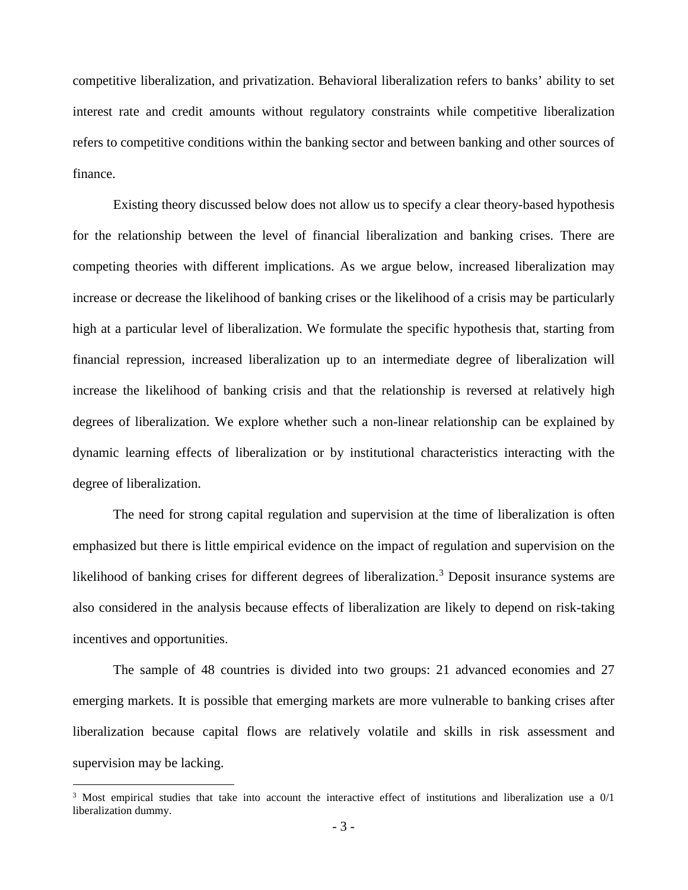competitive liberalization, and privatization. Behavioral liberalization refers to banks' ability to set interest rate and credit amounts without regulatory constraints while competitive liberalization refers to competitive conditions within the banking sector and between banking and other sources of finance.

Existing theory discussed below does not allow us to specify a clear theory-based hypothesis for the relationship between the level of financial liberalization and banking crises. There are competing theories with different implications. As we argue below, increased liberalization may increase or decrease the likelihood of banking crises or the likelihood of a crisis may be particularly high at a particular level of liberalization. We formulate the specific hypothesis that, starting from financial repression, increased liberalization up to an intermediate degree of liberalization will increase the likelihood of banking crisis and that the relationship is reversed at relatively high degrees of liberalization. We explore whether such a non-linear relationship can be explained by dynamic learning effects of liberalization or by institutional characteristics interacting with the degree of liberalization.

The need for strong capital regulation and supervision at the time of liberalization is often emphasized but there is little empirical evidence on the impact of regulation and supervision on the likelihood of banking crises for different degrees of liberalization.<sup>[3](#page-5-0)</sup> Deposit insurance systems are also considered in the analysis because effects of liberalization are likely to depend on risk-taking incentives and opportunities.

The sample of 48 countries is divided into two groups: 21 advanced economies and 27 emerging markets. It is possible that emerging markets are more vulnerable to banking crises after liberalization because capital flows are relatively volatile and skills in risk assessment and supervision may be lacking.

<span id="page-5-0"></span> $3$  Most empirical studies that take into account the interactive effect of institutions and liberalization use a  $0/1$ liberalization dummy.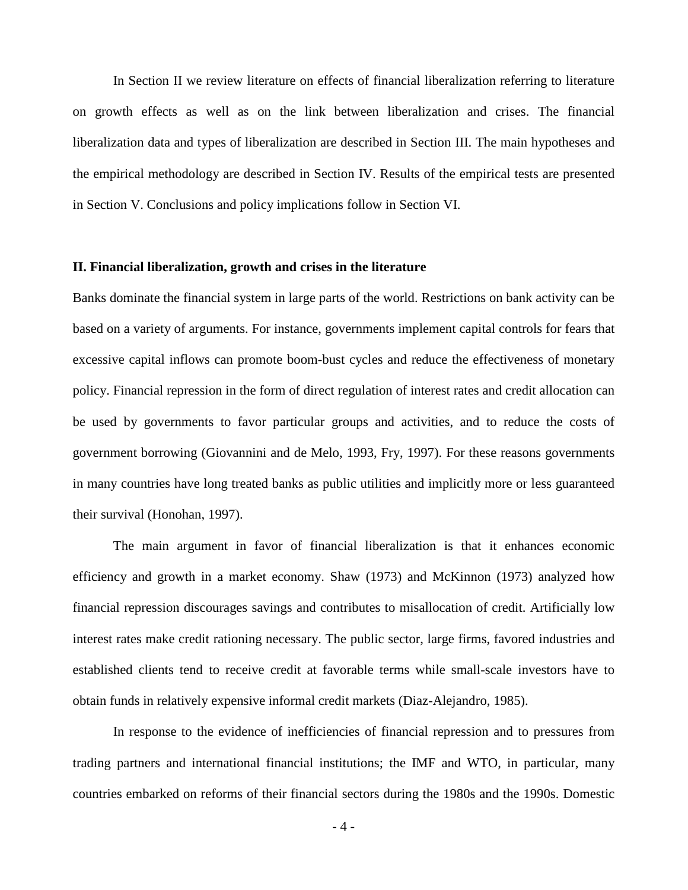In Section II we review literature on effects of financial liberalization referring to literature on growth effects as well as on the link between liberalization and crises. The financial liberalization data and types of liberalization are described in Section III. The main hypotheses and the empirical methodology are described in Section IV. Results of the empirical tests are presented in Section V. Conclusions and policy implications follow in Section VI.

#### **II. Financial liberalization, growth and crises in the literature**

Banks dominate the financial system in large parts of the world. Restrictions on bank activity can be based on a variety of arguments. For instance, governments implement capital controls for fears that excessive capital inflows can promote boom-bust cycles and reduce the effectiveness of monetary policy. Financial repression in the form of direct regulation of interest rates and credit allocation can be used by governments to favor particular groups and activities, and to reduce the costs of government borrowing (Giovannini and de Melo, 1993, Fry, 1997). For these reasons governments in many countries have long treated banks as public utilities and implicitly more or less guaranteed their survival (Honohan, 1997).

The main argument in favor of financial liberalization is that it enhances economic efficiency and growth in a market economy. Shaw (1973) and McKinnon (1973) analyzed how financial repression discourages savings and contributes to misallocation of credit. Artificially low interest rates make credit rationing necessary. The public sector, large firms, favored industries and established clients tend to receive credit at favorable terms while small-scale investors have to obtain funds in relatively expensive informal credit markets (Diaz-Alejandro, 1985).

In response to the evidence of inefficiencies of financial repression and to pressures from trading partners and international financial institutions; the IMF and WTO, in particular, many countries embarked on reforms of their financial sectors during the 1980s and the 1990s. Domestic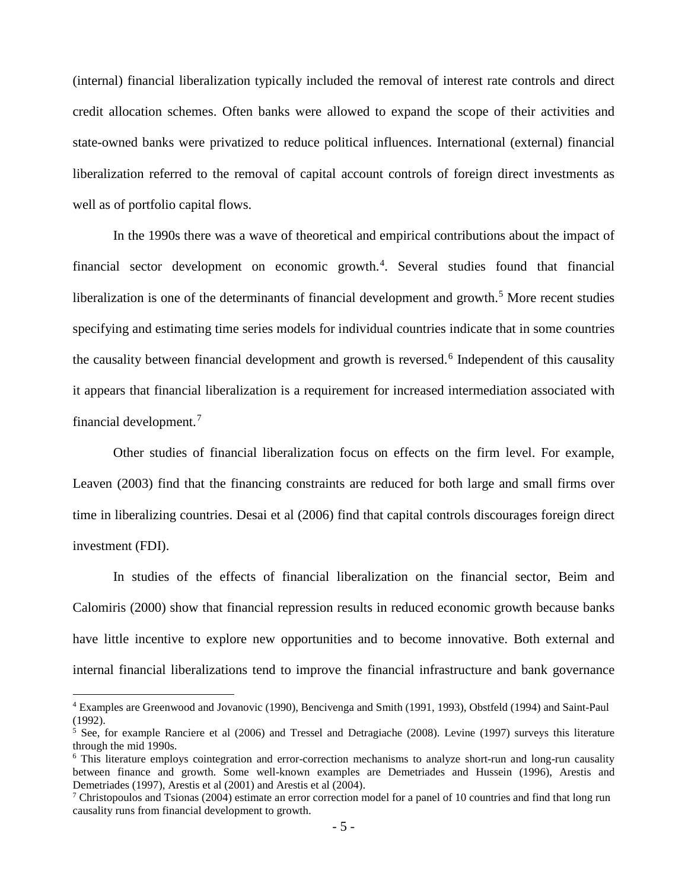(internal) financial liberalization typically included the removal of interest rate controls and direct credit allocation schemes. Often banks were allowed to expand the scope of their activities and state-owned banks were privatized to reduce political influences. International (external) financial liberalization referred to the removal of capital account controls of foreign direct investments as well as of portfolio capital flows.

In the 1990s there was a wave of theoretical and empirical contributions about the impact of financial sector development on economic growth.<sup>[4](#page-7-0)</sup>. Several studies found that financial liberalization is one of the determinants of financial development and growth.<sup>[5](#page-7-1)</sup> More recent studies specifying and estimating time series models for individual countries indicate that in some countries the causality between financial development and growth is reversed.<sup>[6](#page-7-2)</sup> Independent of this causality it appears that financial liberalization is a requirement for increased intermediation associated with financial development.[7](#page-7-3)

Other studies of financial liberalization focus on effects on the firm level. For example, Leaven (2003) find that the financing constraints are reduced for both large and small firms over time in liberalizing countries. Desai et al (2006) find that capital controls discourages foreign direct investment (FDI).

In studies of the effects of financial liberalization on the financial sector, Beim and Calomiris (2000) show that financial repression results in reduced economic growth because banks have little incentive to explore new opportunities and to become innovative. Both external and internal financial liberalizations tend to improve the financial infrastructure and bank governance

<span id="page-7-0"></span> <sup>4</sup> Examples are Greenwood and Jovanovic (1990), Bencivenga and Smith (1991, 1993), Obstfeld (1994) and Saint-Paul (1992).

<span id="page-7-1"></span><sup>&</sup>lt;sup>5</sup> See, for example Ranciere et al (2006) and Tressel and Detragiache (2008). Levine (1997) surveys this literature through the mid 1990s.

<span id="page-7-2"></span><sup>6</sup> This literature employs cointegration and error-correction mechanisms to analyze short-run and long-run causality between finance and growth. Some well-known examples are Demetriades and Hussein (1996), Arestis and Demetriades (1997), Arestis et al (2001) and Arestis et al (2004).

<span id="page-7-3"></span> $^7$  Christopoulos and Tsionas (2004) estimate an error correction model for a panel of 10 countries and find that long run causality runs from financial development to growth.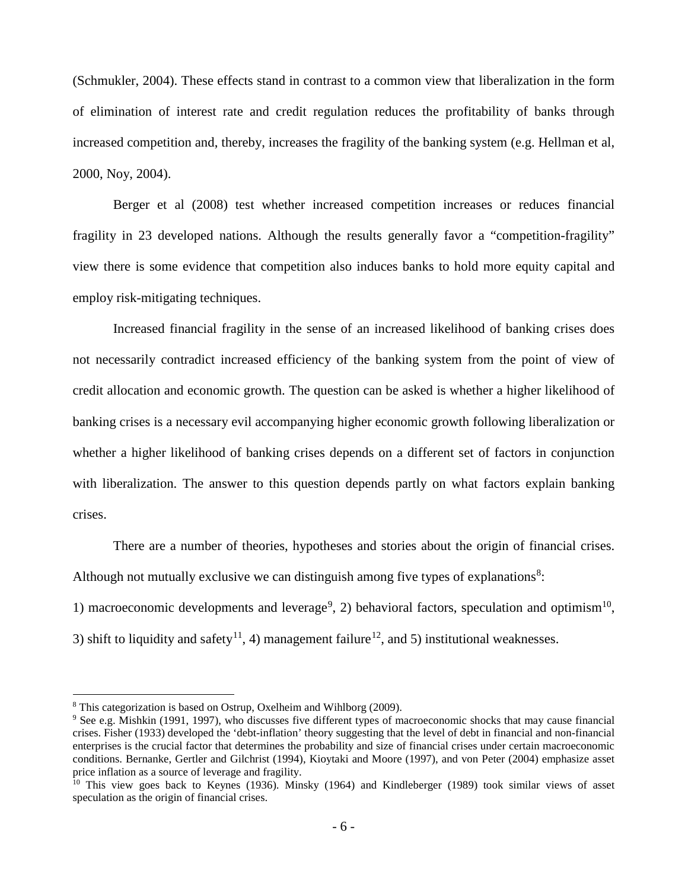(Schmukler, 2004). These effects stand in contrast to a common view that liberalization in the form of elimination of interest rate and credit regulation reduces the profitability of banks through increased competition and, thereby, increases the fragility of the banking system (e.g. Hellman et al, 2000, Noy, 2004).

Berger et al (2008) test whether increased competition increases or reduces financial fragility in 23 developed nations. Although the results generally favor a "competition-fragility" view there is some evidence that competition also induces banks to hold more equity capital and employ risk-mitigating techniques.

Increased financial fragility in the sense of an increased likelihood of banking crises does not necessarily contradict increased efficiency of the banking system from the point of view of credit allocation and economic growth. The question can be asked is whether a higher likelihood of banking crises is a necessary evil accompanying higher economic growth following liberalization or whether a higher likelihood of banking crises depends on a different set of factors in conjunction with liberalization. The answer to this question depends partly on what factors explain banking crises.

There are a number of theories, hypotheses and stories about the origin of financial crises. Although not mutually exclusive we can distinguish among five types of explanations $8$ :

1) macroeconomic developments and leverage<sup>[9](#page-8-1)</sup>, 2) behavioral factors, speculation and optimism<sup>[10](#page-8-2)</sup>, 3) shift to liquidity and safety<sup>11</sup>, 4) management failure<sup>[12](#page-8-4)</sup>, and 5) institutional weaknesses.

<span id="page-8-0"></span> <sup>8</sup> This categorization is based on Ostrup, Oxelheim and Wihlborg (2009).

<span id="page-8-3"></span><span id="page-8-1"></span><sup>&</sup>lt;sup>9</sup> See e.g. Mishkin (1991, 1997), who discusses five different types of macroeconomic shocks that may cause financial crises. Fisher (1933) developed the 'debt-inflation' theory suggesting that the level of debt in financial and non-financial enterprises is the crucial factor that determines the probability and size of financial crises under certain macroeconomic conditions. Bernanke, Gertler and Gilchrist (1994), Kioytaki and Moore (1997), and von Peter (2004) emphasize asset price inflation as a source of leverage and fragility.

<span id="page-8-4"></span><span id="page-8-2"></span><sup>&</sup>lt;sup>10</sup> This view goes back to Keynes (1936). Minsky (1964) and Kindleberger (1989) took similar views of asset speculation as the origin of financial crises.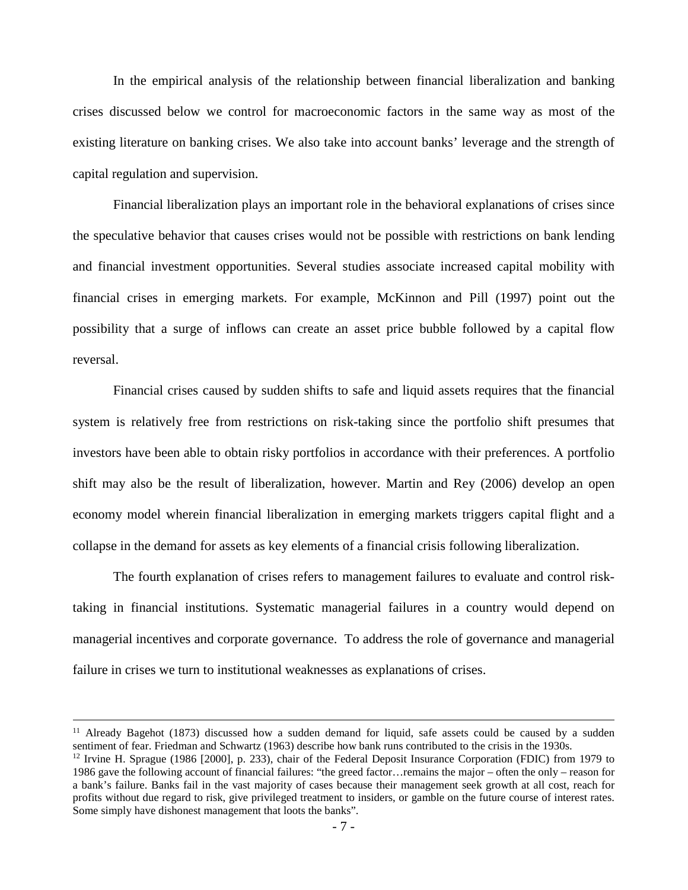In the empirical analysis of the relationship between financial liberalization and banking crises discussed below we control for macroeconomic factors in the same way as most of the existing literature on banking crises. We also take into account banks' leverage and the strength of capital regulation and supervision.

Financial liberalization plays an important role in the behavioral explanations of crises since the speculative behavior that causes crises would not be possible with restrictions on bank lending and financial investment opportunities. Several studies associate increased capital mobility with financial crises in emerging markets. For example, McKinnon and Pill (1997) point out the possibility that a surge of inflows can create an asset price bubble followed by a capital flow reversal.

Financial crises caused by sudden shifts to safe and liquid assets requires that the financial system is relatively free from restrictions on risk-taking since the portfolio shift presumes that investors have been able to obtain risky portfolios in accordance with their preferences. A portfolio shift may also be the result of liberalization, however. Martin and Rey (2006) develop an open economy model wherein financial liberalization in emerging markets triggers capital flight and a collapse in the demand for assets as key elements of a financial crisis following liberalization.

The fourth explanation of crises refers to management failures to evaluate and control risktaking in financial institutions. Systematic managerial failures in a country would depend on managerial incentives and corporate governance. To address the role of governance and managerial failure in crises we turn to institutional weaknesses as explanations of crises.

 $11$  Already Bagehot (1873) discussed how a sudden demand for liquid, safe assets could be caused by a sudden sentiment of fear. Friedman and Schwartz (1963) describe how bank runs contributed to the crisis in the 1930s.

<sup>&</sup>lt;sup>12</sup> Irvine H. Sprague (1986 [2000], p. 233), chair of the Federal Deposit Insurance Corporation (FDIC) from 1979 to 1986 gave the following account of financial failures: "the greed factor…remains the major – often the only – reason for a bank's failure. Banks fail in the vast majority of cases because their management seek growth at all cost, reach for profits without due regard to risk, give privileged treatment to insiders, or gamble on the future course of interest rates. Some simply have dishonest management that loots the banks".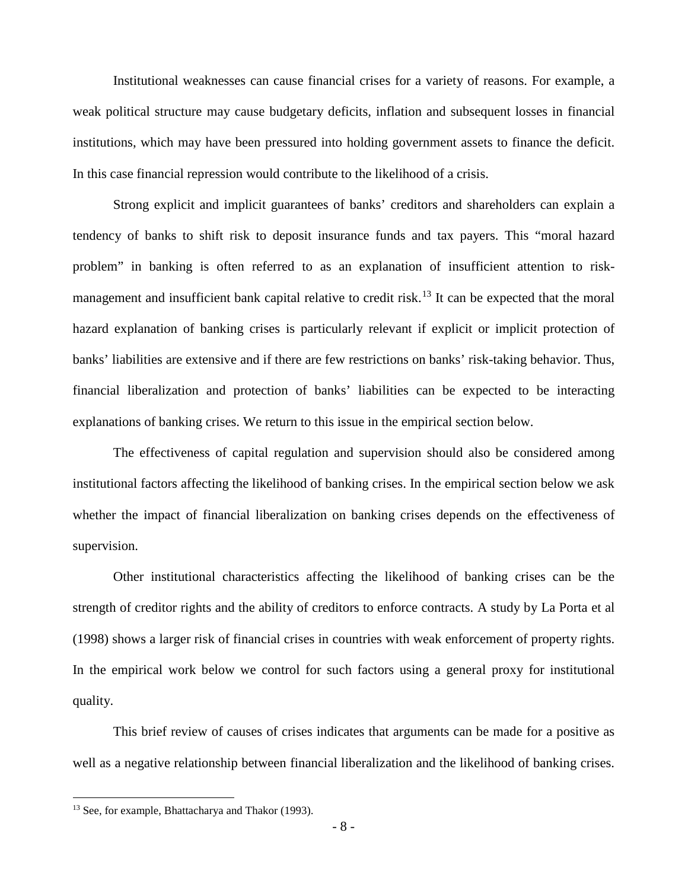Institutional weaknesses can cause financial crises for a variety of reasons. For example, a weak political structure may cause budgetary deficits, inflation and subsequent losses in financial institutions, which may have been pressured into holding government assets to finance the deficit. In this case financial repression would contribute to the likelihood of a crisis.

Strong explicit and implicit guarantees of banks' creditors and shareholders can explain a tendency of banks to shift risk to deposit insurance funds and tax payers. This "moral hazard problem" in banking is often referred to as an explanation of insufficient attention to risk-management and insufficient bank capital relative to credit risk.<sup>[13](#page-10-0)</sup> It can be expected that the moral hazard explanation of banking crises is particularly relevant if explicit or implicit protection of banks' liabilities are extensive and if there are few restrictions on banks' risk-taking behavior. Thus, financial liberalization and protection of banks' liabilities can be expected to be interacting explanations of banking crises. We return to this issue in the empirical section below.

The effectiveness of capital regulation and supervision should also be considered among institutional factors affecting the likelihood of banking crises. In the empirical section below we ask whether the impact of financial liberalization on banking crises depends on the effectiveness of supervision.

Other institutional characteristics affecting the likelihood of banking crises can be the strength of creditor rights and the ability of creditors to enforce contracts. A study by La Porta et al (1998) shows a larger risk of financial crises in countries with weak enforcement of property rights. In the empirical work below we control for such factors using a general proxy for institutional quality.

This brief review of causes of crises indicates that arguments can be made for a positive as well as a negative relationship between financial liberalization and the likelihood of banking crises.

<span id="page-10-0"></span><sup>&</sup>lt;sup>13</sup> See, for example, Bhattacharya and Thakor (1993).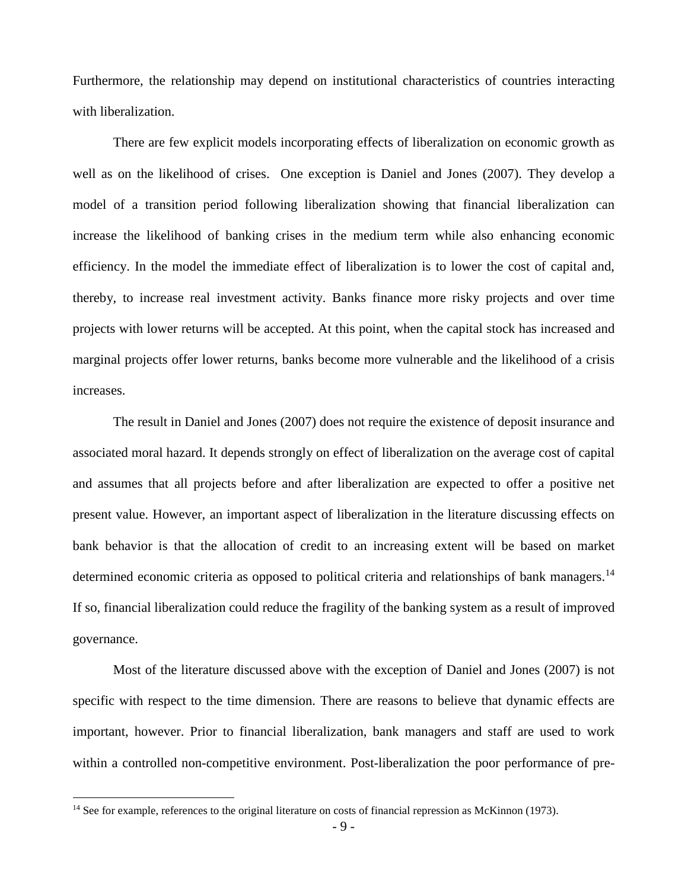Furthermore, the relationship may depend on institutional characteristics of countries interacting with liberalization.

There are few explicit models incorporating effects of liberalization on economic growth as well as on the likelihood of crises. One exception is Daniel and Jones (2007). They develop a model of a transition period following liberalization showing that financial liberalization can increase the likelihood of banking crises in the medium term while also enhancing economic efficiency. In the model the immediate effect of liberalization is to lower the cost of capital and, thereby, to increase real investment activity. Banks finance more risky projects and over time projects with lower returns will be accepted. At this point, when the capital stock has increased and marginal projects offer lower returns, banks become more vulnerable and the likelihood of a crisis increases.

The result in Daniel and Jones (2007) does not require the existence of deposit insurance and associated moral hazard. It depends strongly on effect of liberalization on the average cost of capital and assumes that all projects before and after liberalization are expected to offer a positive net present value. However, an important aspect of liberalization in the literature discussing effects on bank behavior is that the allocation of credit to an increasing extent will be based on market determined economic criteria as opposed to political criteria and relationships of bank managers.<sup>[14](#page-11-0)</sup> If so, financial liberalization could reduce the fragility of the banking system as a result of improved governance.

Most of the literature discussed above with the exception of Daniel and Jones (2007) is not specific with respect to the time dimension. There are reasons to believe that dynamic effects are important, however. Prior to financial liberalization, bank managers and staff are used to work within a controlled non-competitive environment. Post-liberalization the poor performance of pre-

<span id="page-11-0"></span><sup>&</sup>lt;sup>14</sup> See for example, references to the original literature on costs of financial repression as McKinnon (1973).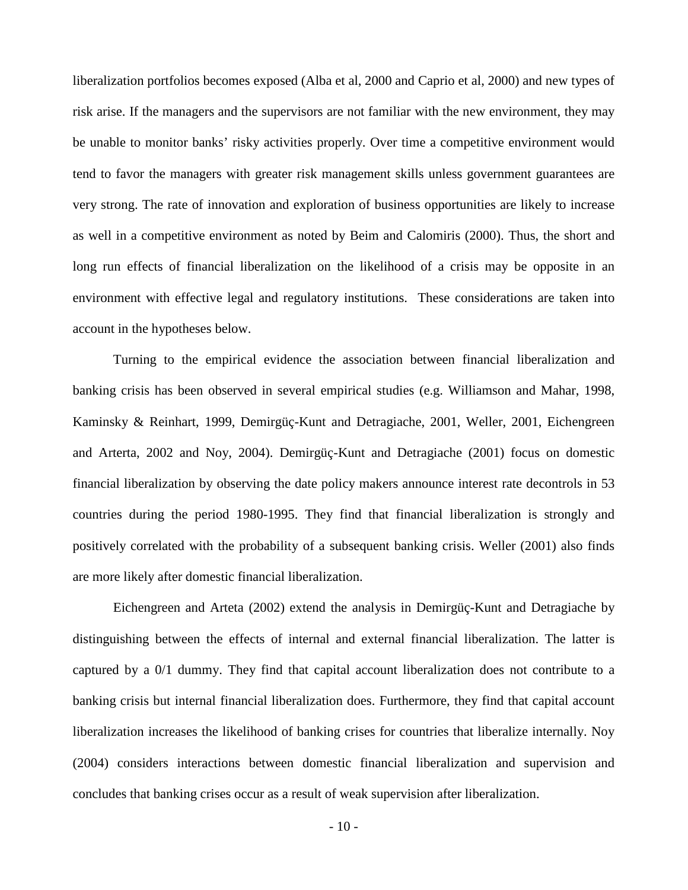liberalization portfolios becomes exposed (Alba et al, 2000 and Caprio et al, 2000) and new types of risk arise. If the managers and the supervisors are not familiar with the new environment, they may be unable to monitor banks' risky activities properly. Over time a competitive environment would tend to favor the managers with greater risk management skills unless government guarantees are very strong. The rate of innovation and exploration of business opportunities are likely to increase as well in a competitive environment as noted by Beim and Calomiris (2000). Thus, the short and long run effects of financial liberalization on the likelihood of a crisis may be opposite in an environment with effective legal and regulatory institutions. These considerations are taken into account in the hypotheses below.

Turning to the empirical evidence the association between financial liberalization and banking crisis has been observed in several empirical studies (e.g. Williamson and Mahar, 1998, Kaminsky & Reinhart, 1999, Demirgüç-Kunt and Detragiache, 2001, Weller, 2001, Eichengreen and Arterta, 2002 and Noy, 2004). Demirgüç-Kunt and Detragiache (2001) focus on domestic financial liberalization by observing the date policy makers announce interest rate decontrols in 53 countries during the period 1980-1995. They find that financial liberalization is strongly and positively correlated with the probability of a subsequent banking crisis. Weller (2001) also finds are more likely after domestic financial liberalization.

Eichengreen and Arteta (2002) extend the analysis in Demirgüç-Kunt and Detragiache by distinguishing between the effects of internal and external financial liberalization. The latter is captured by a 0/1 dummy. They find that capital account liberalization does not contribute to a banking crisis but internal financial liberalization does. Furthermore, they find that capital account liberalization increases the likelihood of banking crises for countries that liberalize internally. Noy (2004) considers interactions between domestic financial liberalization and supervision and concludes that banking crises occur as a result of weak supervision after liberalization.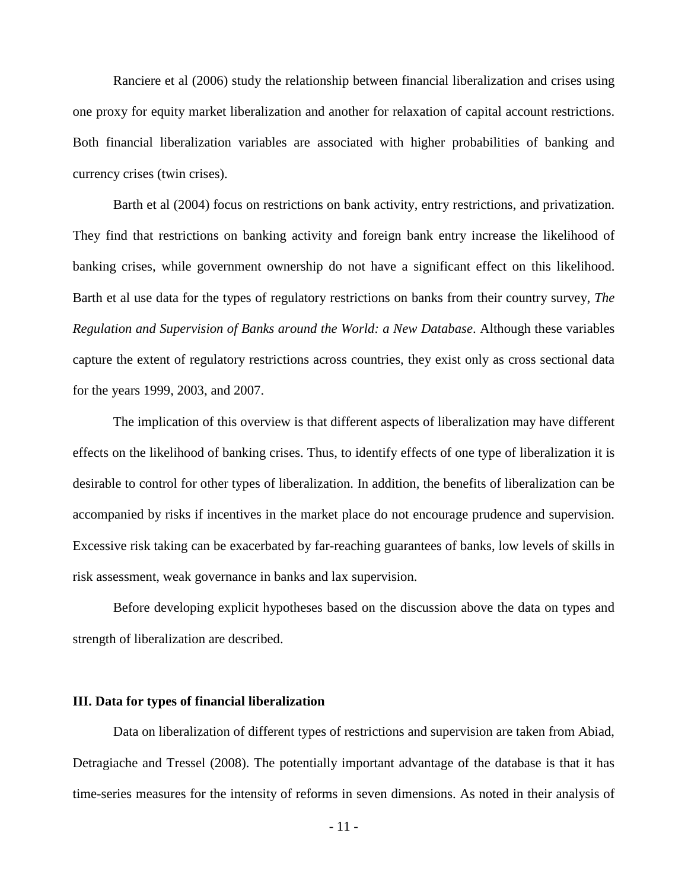Ranciere et al (2006) study the relationship between financial liberalization and crises using one proxy for equity market liberalization and another for relaxation of capital account restrictions. Both financial liberalization variables are associated with higher probabilities of banking and currency crises (twin crises).

Barth et al (2004) focus on restrictions on bank activity, entry restrictions, and privatization. They find that restrictions on banking activity and foreign bank entry increase the likelihood of banking crises, while government ownership do not have a significant effect on this likelihood. Barth et al use data for the types of regulatory restrictions on banks from their country survey, *The Regulation and Supervision of Banks around the World: a New Database*. Although these variables capture the extent of regulatory restrictions across countries, they exist only as cross sectional data for the years 1999, 2003, and 2007.

The implication of this overview is that different aspects of liberalization may have different effects on the likelihood of banking crises. Thus, to identify effects of one type of liberalization it is desirable to control for other types of liberalization. In addition, the benefits of liberalization can be accompanied by risks if incentives in the market place do not encourage prudence and supervision. Excessive risk taking can be exacerbated by far-reaching guarantees of banks, low levels of skills in risk assessment, weak governance in banks and lax supervision.

Before developing explicit hypotheses based on the discussion above the data on types and strength of liberalization are described.

#### **III. Data for types of financial liberalization**

Data on liberalization of different types of restrictions and supervision are taken from Abiad, Detragiache and Tressel (2008). The potentially important advantage of the database is that it has time-series measures for the intensity of reforms in seven dimensions. As noted in their analysis of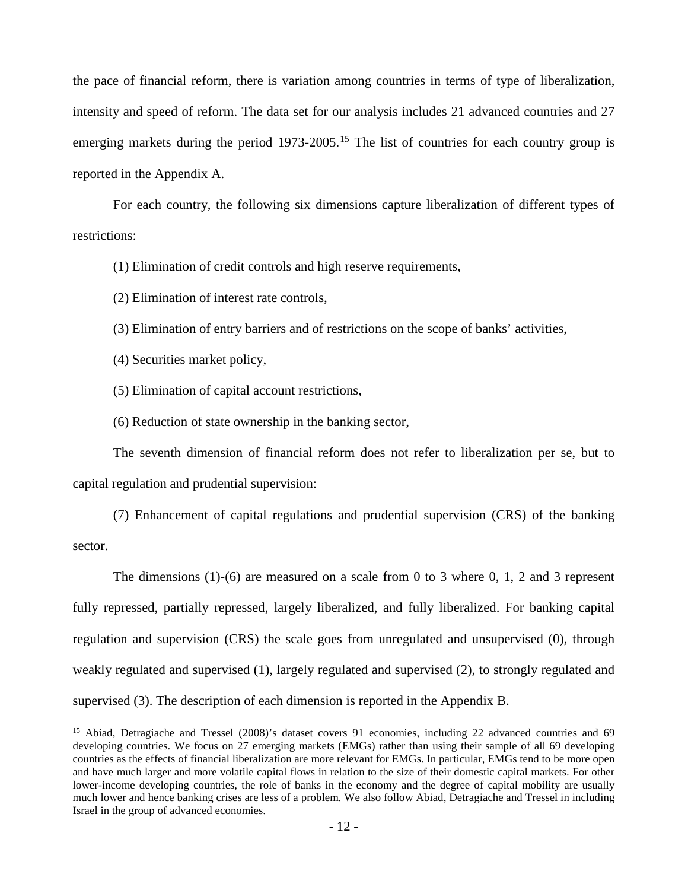the pace of financial reform, there is variation among countries in terms of type of liberalization, intensity and speed of reform. The data set for our analysis includes 21 advanced countries and 27 emerging markets during the period  $1973$ -2005.<sup>[15](#page-14-0)</sup> The list of countries for each country group is reported in the Appendix A.

For each country, the following six dimensions capture liberalization of different types of restrictions:

(1) Elimination of credit controls and high reserve requirements,

(2) Elimination of interest rate controls,

(3) Elimination of entry barriers and of restrictions on the scope of banks' activities,

(4) Securities market policy,

(5) Elimination of capital account restrictions,

(6) Reduction of state ownership in the banking sector,

The seventh dimension of financial reform does not refer to liberalization per se, but to capital regulation and prudential supervision:

(7) Enhancement of capital regulations and prudential supervision (CRS) of the banking sector.

The dimensions (1)-(6) are measured on a scale from 0 to 3 where 0, 1, 2 and 3 represent fully repressed, partially repressed, largely liberalized, and fully liberalized. For banking capital regulation and supervision (CRS) the scale goes from unregulated and unsupervised (0), through weakly regulated and supervised (1), largely regulated and supervised (2), to strongly regulated and supervised (3). The description of each dimension is reported in the Appendix B.

<span id="page-14-0"></span><sup>&</sup>lt;sup>15</sup> Abiad, Detragiache and Tressel (2008)'s dataset covers 91 economies, including 22 advanced countries and 69 developing countries. We focus on 27 emerging markets (EMGs) rather than using their sample of all 69 developing countries as the effects of financial liberalization are more relevant for EMGs. In particular, EMGs tend to be more open and have much larger and more volatile capital flows in relation to the size of their domestic capital markets. For other lower-income developing countries, the role of banks in the economy and the degree of capital mobility are usually much lower and hence banking crises are less of a problem. We also follow Abiad, Detragiache and Tressel in including Israel in the group of advanced economies.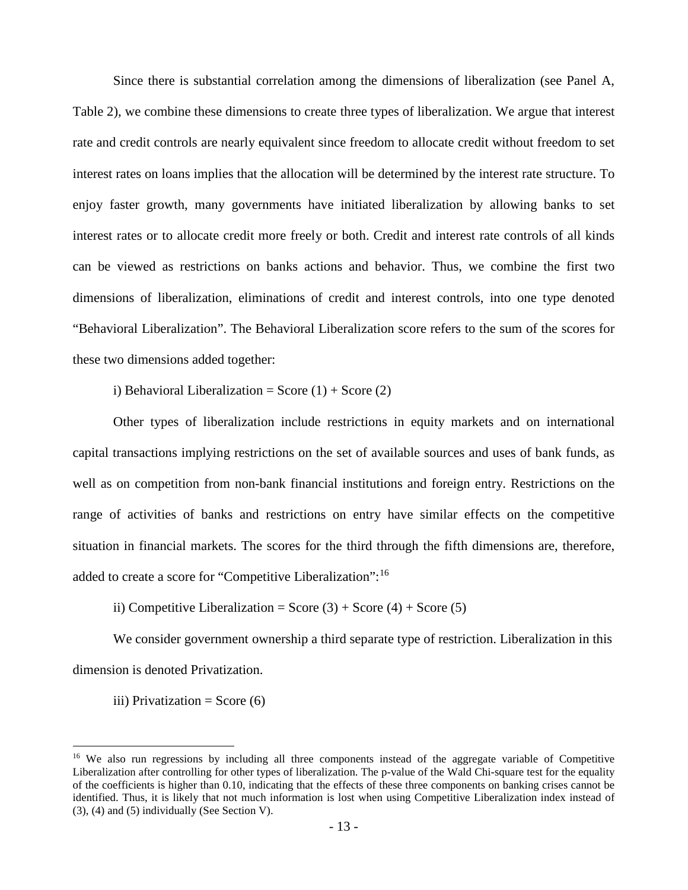Since there is substantial correlation among the dimensions of liberalization (see Panel A, Table 2), we combine these dimensions to create three types of liberalization. We argue that interest rate and credit controls are nearly equivalent since freedom to allocate credit without freedom to set interest rates on loans implies that the allocation will be determined by the interest rate structure. To enjoy faster growth, many governments have initiated liberalization by allowing banks to set interest rates or to allocate credit more freely or both. Credit and interest rate controls of all kinds can be viewed as restrictions on banks actions and behavior. Thus, we combine the first two dimensions of liberalization, eliminations of credit and interest controls, into one type denoted "Behavioral Liberalization". The Behavioral Liberalization score refers to the sum of the scores for these two dimensions added together:

i) Behavioral Liberalization = Score  $(1)$  + Score  $(2)$ 

Other types of liberalization include restrictions in equity markets and on international capital transactions implying restrictions on the set of available sources and uses of bank funds, as well as on competition from non-bank financial institutions and foreign entry. Restrictions on the range of activities of banks and restrictions on entry have similar effects on the competitive situation in financial markets. The scores for the third through the fifth dimensions are, therefore, added to create a score for "Competitive Liberalization":[16](#page-15-0)

ii) Competitive Liberalization = Score  $(3) +$  Score  $(4) +$  Score  $(5)$ 

We consider government ownership a third separate type of restriction. Liberalization in this dimension is denoted Privatization.

iii) Privatization = Score  $(6)$ 

<span id="page-15-0"></span><sup>&</sup>lt;sup>16</sup> We also run regressions by including all three components instead of the aggregate variable of Competitive Liberalization after controlling for other types of liberalization. The p-value of the Wald Chi-square test for the equality of the coefficients is higher than 0.10, indicating that the effects of these three components on banking crises cannot be identified. Thus, it is likely that not much information is lost when using Competitive Liberalization index instead of (3), (4) and (5) individually (See Section V).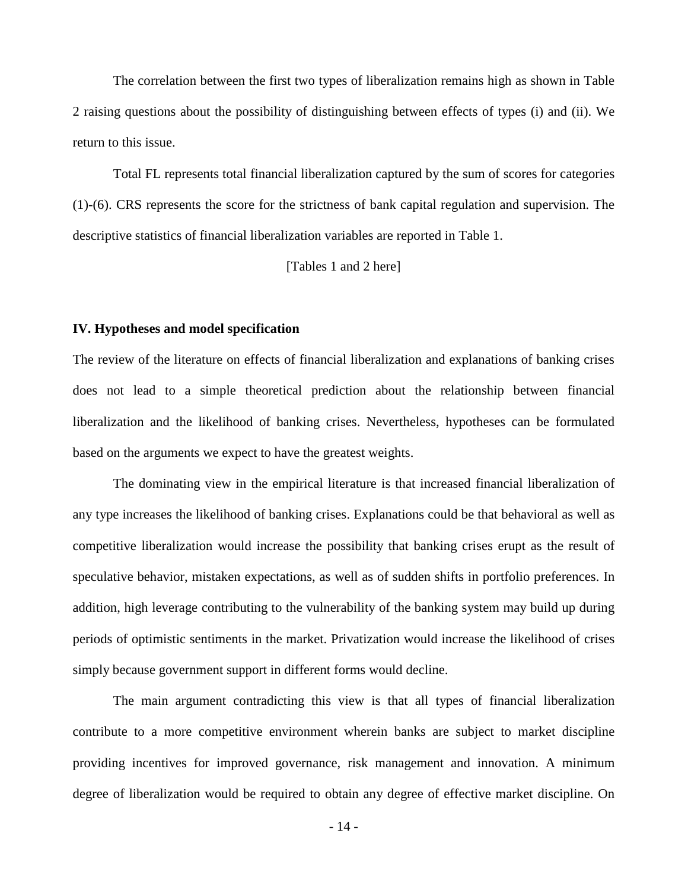The correlation between the first two types of liberalization remains high as shown in Table 2 raising questions about the possibility of distinguishing between effects of types (i) and (ii). We return to this issue.

Total FL represents total financial liberalization captured by the sum of scores for categories (1)-(6). CRS represents the score for the strictness of bank capital regulation and supervision. The descriptive statistics of financial liberalization variables are reported in Table 1.

[Tables 1 and 2 here]

#### **IV. Hypotheses and model specification**

The review of the literature on effects of financial liberalization and explanations of banking crises does not lead to a simple theoretical prediction about the relationship between financial liberalization and the likelihood of banking crises. Nevertheless, hypotheses can be formulated based on the arguments we expect to have the greatest weights.

The dominating view in the empirical literature is that increased financial liberalization of any type increases the likelihood of banking crises. Explanations could be that behavioral as well as competitive liberalization would increase the possibility that banking crises erupt as the result of speculative behavior, mistaken expectations, as well as of sudden shifts in portfolio preferences. In addition, high leverage contributing to the vulnerability of the banking system may build up during periods of optimistic sentiments in the market. Privatization would increase the likelihood of crises simply because government support in different forms would decline.

The main argument contradicting this view is that all types of financial liberalization contribute to a more competitive environment wherein banks are subject to market discipline providing incentives for improved governance, risk management and innovation. A minimum degree of liberalization would be required to obtain any degree of effective market discipline. On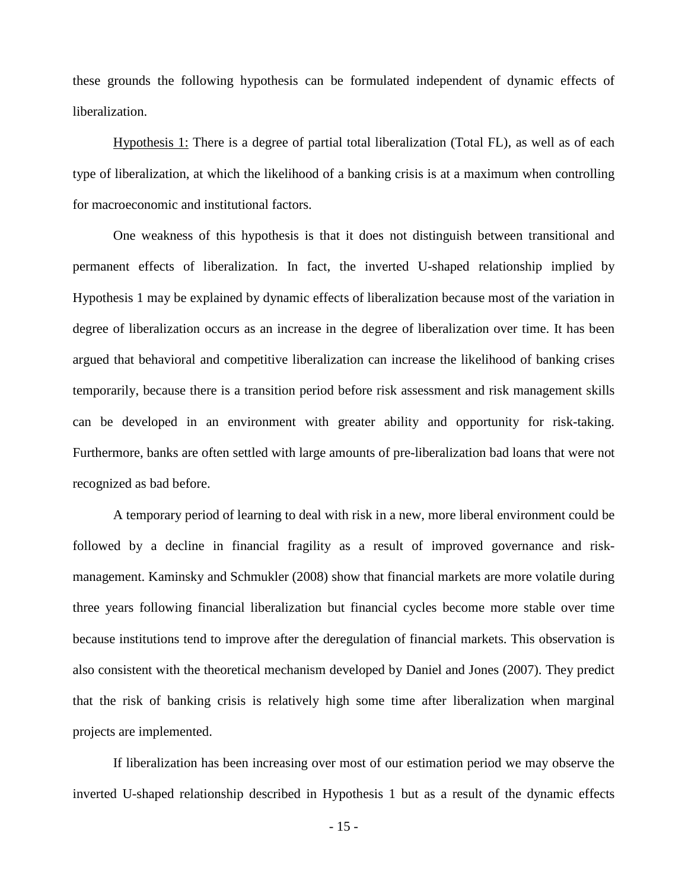these grounds the following hypothesis can be formulated independent of dynamic effects of liberalization.

Hypothesis 1: There is a degree of partial total liberalization (Total FL), as well as of each type of liberalization, at which the likelihood of a banking crisis is at a maximum when controlling for macroeconomic and institutional factors.

One weakness of this hypothesis is that it does not distinguish between transitional and permanent effects of liberalization. In fact, the inverted U-shaped relationship implied by Hypothesis 1 may be explained by dynamic effects of liberalization because most of the variation in degree of liberalization occurs as an increase in the degree of liberalization over time. It has been argued that behavioral and competitive liberalization can increase the likelihood of banking crises temporarily, because there is a transition period before risk assessment and risk management skills can be developed in an environment with greater ability and opportunity for risk-taking. Furthermore, banks are often settled with large amounts of pre-liberalization bad loans that were not recognized as bad before.

A temporary period of learning to deal with risk in a new, more liberal environment could be followed by a decline in financial fragility as a result of improved governance and riskmanagement. Kaminsky and Schmukler (2008) show that financial markets are more volatile during three years following financial liberalization but financial cycles become more stable over time because institutions tend to improve after the deregulation of financial markets. This observation is also consistent with the theoretical mechanism developed by Daniel and Jones (2007). They predict that the risk of banking crisis is relatively high some time after liberalization when marginal projects are implemented.

If liberalization has been increasing over most of our estimation period we may observe the inverted U-shaped relationship described in Hypothesis 1 but as a result of the dynamic effects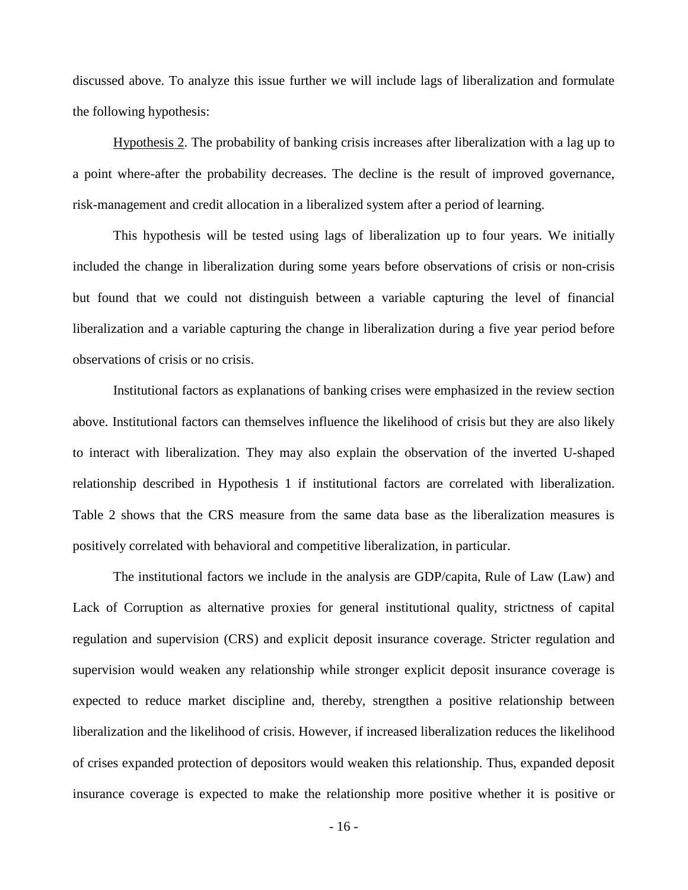discussed above. To analyze this issue further we will include lags of liberalization and formulate the following hypothesis:

Hypothesis 2. The probability of banking crisis increases after liberalization with a lag up to a point where-after the probability decreases. The decline is the result of improved governance, risk-management and credit allocation in a liberalized system after a period of learning.

This hypothesis will be tested using lags of liberalization up to four years. We initially included the change in liberalization during some years before observations of crisis or non-crisis but found that we could not distinguish between a variable capturing the level of financial liberalization and a variable capturing the change in liberalization during a five year period before observations of crisis or no crisis.

Institutional factors as explanations of banking crises were emphasized in the review section above. Institutional factors can themselves influence the likelihood of crisis but they are also likely to interact with liberalization. They may also explain the observation of the inverted U-shaped relationship described in Hypothesis 1 if institutional factors are correlated with liberalization. Table 2 shows that the CRS measure from the same data base as the liberalization measures is positively correlated with behavioral and competitive liberalization, in particular.

The institutional factors we include in the analysis are GDP/capita, Rule of Law (Law) and Lack of Corruption as alternative proxies for general institutional quality, strictness of capital regulation and supervision (CRS) and explicit deposit insurance coverage. Stricter regulation and supervision would weaken any relationship while stronger explicit deposit insurance coverage is expected to reduce market discipline and, thereby, strengthen a positive relationship between liberalization and the likelihood of crisis. However, if increased liberalization reduces the likelihood of crises expanded protection of depositors would weaken this relationship. Thus, expanded deposit insurance coverage is expected to make the relationship more positive whether it is positive or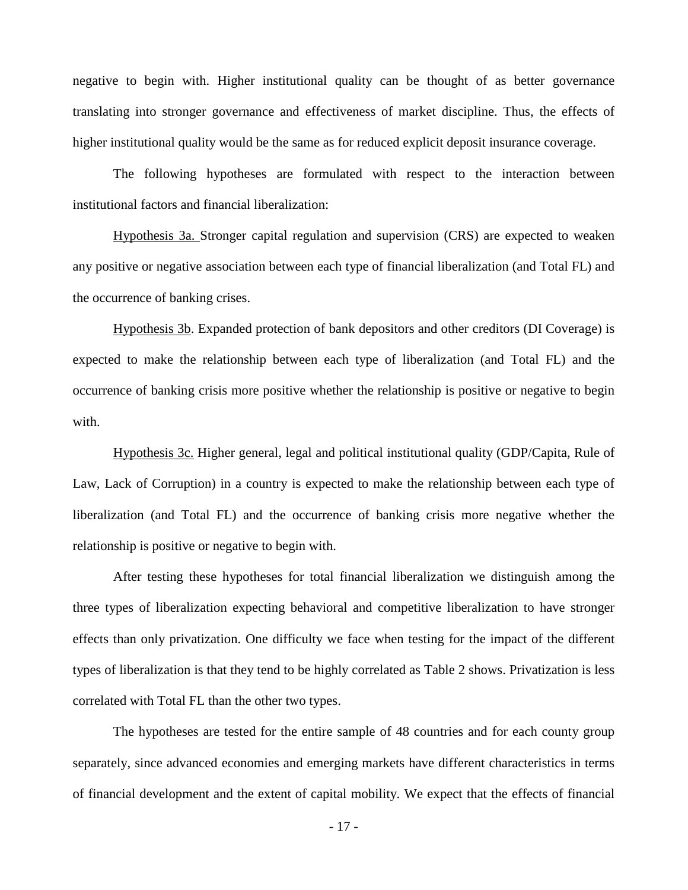negative to begin with. Higher institutional quality can be thought of as better governance translating into stronger governance and effectiveness of market discipline. Thus, the effects of higher institutional quality would be the same as for reduced explicit deposit insurance coverage.

The following hypotheses are formulated with respect to the interaction between institutional factors and financial liberalization:

Hypothesis 3a. Stronger capital regulation and supervision (CRS) are expected to weaken any positive or negative association between each type of financial liberalization (and Total FL) and the occurrence of banking crises.

Hypothesis 3b. Expanded protection of bank depositors and other creditors (DI Coverage) is expected to make the relationship between each type of liberalization (and Total FL) and the occurrence of banking crisis more positive whether the relationship is positive or negative to begin with.

Hypothesis 3c. Higher general, legal and political institutional quality (GDP/Capita, Rule of Law, Lack of Corruption) in a country is expected to make the relationship between each type of liberalization (and Total FL) and the occurrence of banking crisis more negative whether the relationship is positive or negative to begin with.

After testing these hypotheses for total financial liberalization we distinguish among the three types of liberalization expecting behavioral and competitive liberalization to have stronger effects than only privatization. One difficulty we face when testing for the impact of the different types of liberalization is that they tend to be highly correlated as Table 2 shows. Privatization is less correlated with Total FL than the other two types.

The hypotheses are tested for the entire sample of 48 countries and for each county group separately, since advanced economies and emerging markets have different characteristics in terms of financial development and the extent of capital mobility. We expect that the effects of financial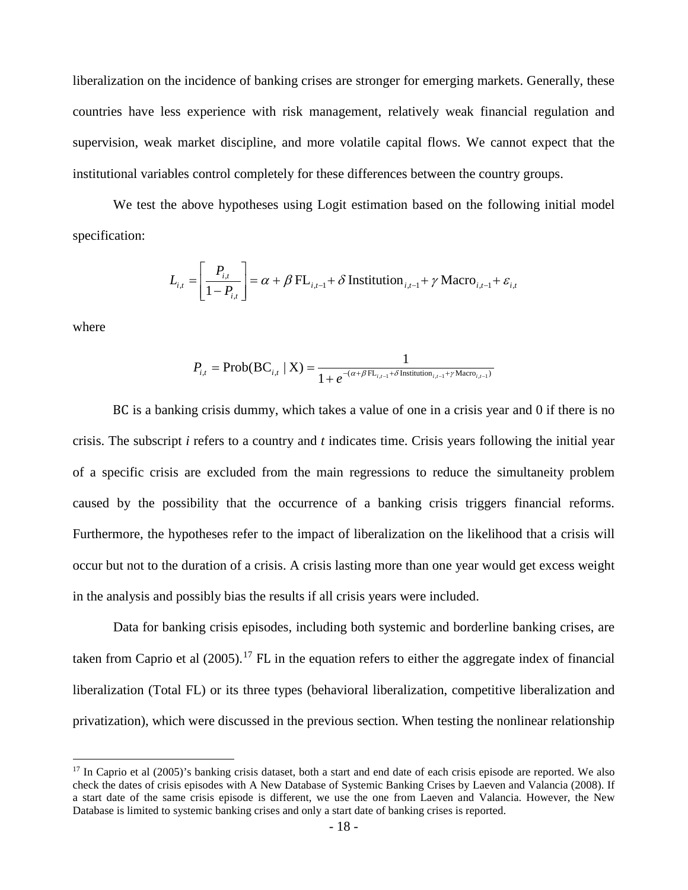liberalization on the incidence of banking crises are stronger for emerging markets. Generally, these countries have less experience with risk management, relatively weak financial regulation and supervision, weak market discipline, and more volatile capital flows. We cannot expect that the institutional variables control completely for these differences between the country groups.

We test the above hypotheses using Logit estimation based on the following initial model specification:

$$
L_{i,t} = \left[ \frac{P_{i,t}}{1 - P_{i,t}} \right] = \alpha + \beta \operatorname{FL}_{i,t-1} + \delta \operatorname{Institution}_{i,t-1} + \gamma \operatorname{Macco}_{i,t-1} + \varepsilon_{i,t}
$$

where

$$
P_{i,t} = \text{Prob}(BC_{i,t} | X) = \frac{1}{1 + e^{-(\alpha + \beta FL_{i,t-1} + \delta \text{Institution}_{i,t-1} + \gamma \text{Macro}_{i,t-1})}}
$$

BC is a banking crisis dummy, which takes a value of one in a crisis year and 0 if there is no crisis. The subscript *i* refers to a country and *t* indicates time. Crisis years following the initial year of a specific crisis are excluded from the main regressions to reduce the simultaneity problem caused by the possibility that the occurrence of a banking crisis triggers financial reforms. Furthermore, the hypotheses refer to the impact of liberalization on the likelihood that a crisis will occur but not to the duration of a crisis. A crisis lasting more than one year would get excess weight in the analysis and possibly bias the results if all crisis years were included.

Data for banking crisis episodes, including both systemic and borderline banking crises, are taken from Caprio et al  $(2005)$ .<sup>[17](#page-20-0)</sup> FL in the equation refers to either the aggregate index of financial liberalization (Total FL) or its three types (behavioral liberalization, competitive liberalization and privatization), which were discussed in the previous section. When testing the nonlinear relationship

<span id="page-20-0"></span><sup>&</sup>lt;sup>17</sup> In Caprio et al (2005)'s banking crisis dataset, both a start and end date of each crisis episode are reported. We also check the dates of crisis episodes with A New Database of Systemic Banking Crises by Laeven and Valancia (2008). If a start date of the same crisis episode is different, we use the one from Laeven and Valancia. However, the New Database is limited to systemic banking crises and only a start date of banking crises is reported.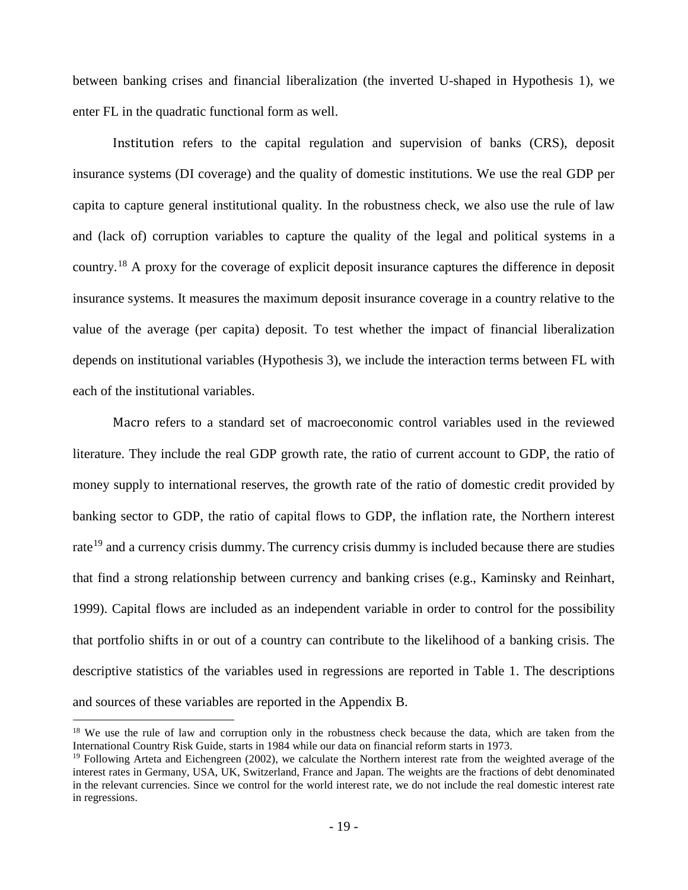between banking crises and financial liberalization (the inverted U-shaped in Hypothesis 1), we enter FL in the quadratic functional form as well.

Institution refers to the capital regulation and supervision of banks (CRS), deposit insurance systems (DI coverage) and the quality of domestic institutions. We use the real GDP per capita to capture general institutional quality. In the robustness check, we also use the rule of law and (lack of) corruption variables to capture the quality of the legal and political systems in a country.[18](#page-21-0) A proxy for the coverage of explicit deposit insurance captures the difference in deposit insurance systems. It measures the maximum deposit insurance coverage in a country relative to the value of the average (per capita) deposit. To test whether the impact of financial liberalization depends on institutional variables (Hypothesis 3), we include the interaction terms between FL with each of the institutional variables.

Macro refers to a standard set of macroeconomic control variables used in the reviewed literature. They include the real GDP growth rate, the ratio of current account to GDP, the ratio of money supply to international reserves, the growth rate of the ratio of domestic credit provided by banking sector to GDP, the ratio of capital flows to GDP, the inflation rate, the Northern interest rate<sup>[19](#page-21-1)</sup> and a currency crisis dummy. The currency crisis dummy is included because there are studies that find a strong relationship between currency and banking crises (e.g., Kaminsky and Reinhart, 1999). Capital flows are included as an independent variable in order to control for the possibility that portfolio shifts in or out of a country can contribute to the likelihood of a banking crisis. The descriptive statistics of the variables used in regressions are reported in Table 1. The descriptions and sources of these variables are reported in the Appendix B.

<span id="page-21-0"></span><sup>&</sup>lt;sup>18</sup> We use the rule of law and corruption only in the robustness check because the data, which are taken from the International Country Risk Guide, starts in 1984 while our data on financial reform starts in 1973.

<span id="page-21-1"></span> $19$  Following Arteta and Eichengreen (2002), we calculate the Northern interest rate from the weighted average of the interest rates in Germany, USA, UK, Switzerland, France and Japan. The weights are the fractions of debt denominated in the relevant currencies. Since we control for the world interest rate, we do not include the real domestic interest rate in regressions.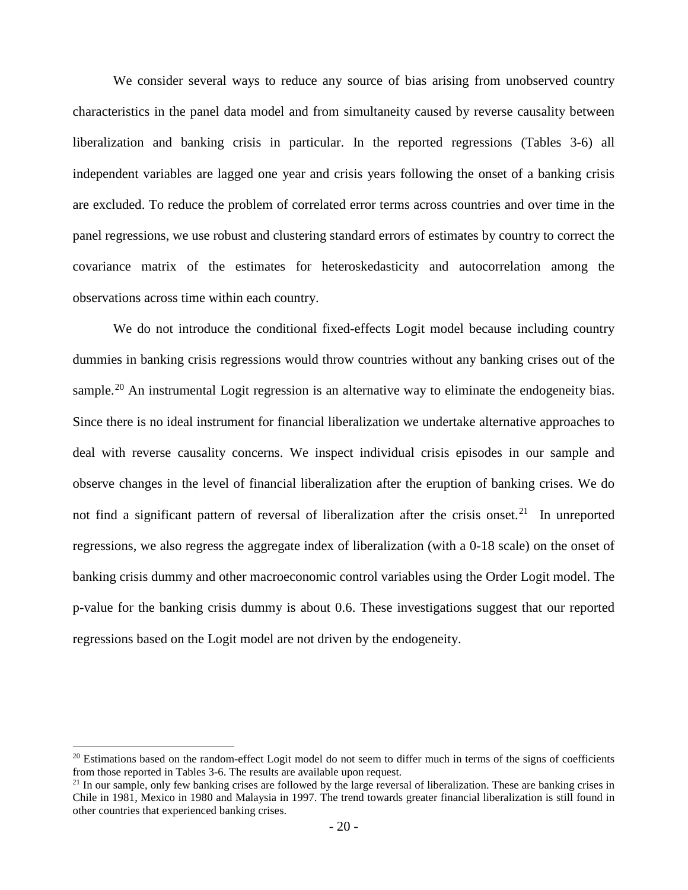We consider several ways to reduce any source of bias arising from unobserved country characteristics in the panel data model and from simultaneity caused by reverse causality between liberalization and banking crisis in particular. In the reported regressions (Tables 3-6) all independent variables are lagged one year and crisis years following the onset of a banking crisis are excluded. To reduce the problem of correlated error terms across countries and over time in the panel regressions, we use robust and clustering standard errors of estimates by country to correct the covariance matrix of the estimates for heteroskedasticity and autocorrelation among the observations across time within each country.

We do not introduce the conditional fixed-effects Logit model because including country dummies in banking crisis regressions would throw countries without any banking crises out of the sample.<sup>[20](#page-22-0)</sup> An instrumental Logit regression is an alternative way to eliminate the endogeneity bias. Since there is no ideal instrument for financial liberalization we undertake alternative approaches to deal with reverse causality concerns. We inspect individual crisis episodes in our sample and observe changes in the level of financial liberalization after the eruption of banking crises. We do not find a significant pattern of reversal of liberalization after the crisis onset.<sup>[21](#page-22-1)</sup> In unreported regressions, we also regress the aggregate index of liberalization (with a 0-18 scale) on the onset of banking crisis dummy and other macroeconomic control variables using the Order Logit model. The p-value for the banking crisis dummy is about 0.6. These investigations suggest that our reported regressions based on the Logit model are not driven by the endogeneity.

<span id="page-22-0"></span> $20$  Estimations based on the random-effect Logit model do not seem to differ much in terms of the signs of coefficients from those reported in Tables 3-6. The results are available upon request.

<span id="page-22-1"></span><sup>&</sup>lt;sup>21</sup> In our sample, only few banking crises are followed by the large reversal of liberalization. These are banking crises in Chile in 1981, Mexico in 1980 and Malaysia in 1997. The trend towards greater financial liberalization is still found in other countries that experienced banking crises.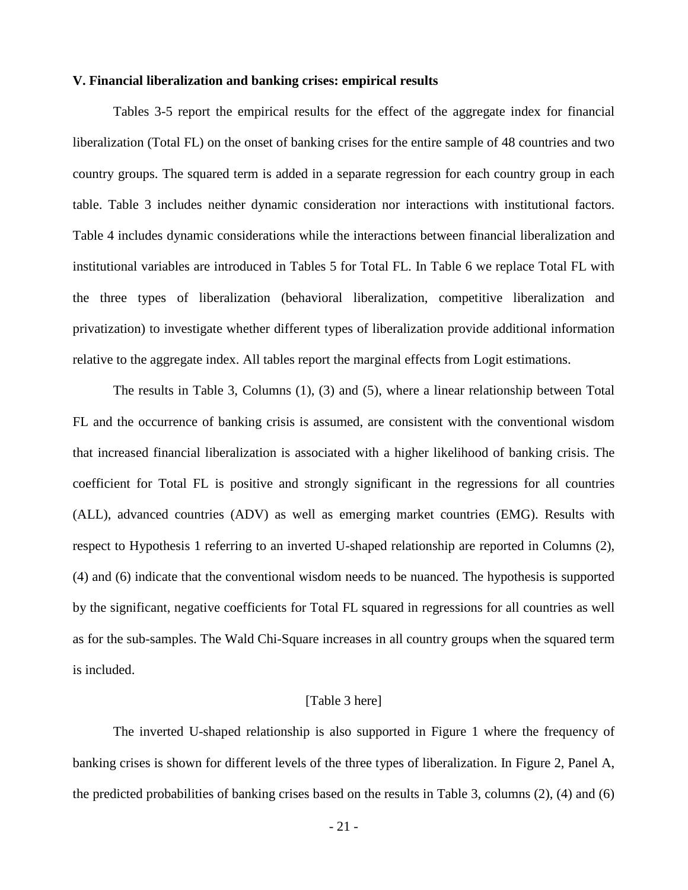#### **V. Financial liberalization and banking crises: empirical results**

Tables 3-5 report the empirical results for the effect of the aggregate index for financial liberalization (Total FL) on the onset of banking crises for the entire sample of 48 countries and two country groups. The squared term is added in a separate regression for each country group in each table. Table 3 includes neither dynamic consideration nor interactions with institutional factors. Table 4 includes dynamic considerations while the interactions between financial liberalization and institutional variables are introduced in Tables 5 for Total FL. In Table 6 we replace Total FL with the three types of liberalization (behavioral liberalization, competitive liberalization and privatization) to investigate whether different types of liberalization provide additional information relative to the aggregate index. All tables report the marginal effects from Logit estimations.

The results in Table 3, Columns (1), (3) and (5), where a linear relationship between Total FL and the occurrence of banking crisis is assumed, are consistent with the conventional wisdom that increased financial liberalization is associated with a higher likelihood of banking crisis. The coefficient for Total FL is positive and strongly significant in the regressions for all countries (ALL), advanced countries (ADV) as well as emerging market countries (EMG). Results with respect to Hypothesis 1 referring to an inverted U-shaped relationship are reported in Columns (2), (4) and (6) indicate that the conventional wisdom needs to be nuanced. The hypothesis is supported by the significant, negative coefficients for Total FL squared in regressions for all countries as well as for the sub-samples. The Wald Chi-Square increases in all country groups when the squared term is included.

#### [Table 3 here]

The inverted U-shaped relationship is also supported in Figure 1 where the frequency of banking crises is shown for different levels of the three types of liberalization. In Figure 2, Panel A, the predicted probabilities of banking crises based on the results in Table 3, columns (2), (4) and (6)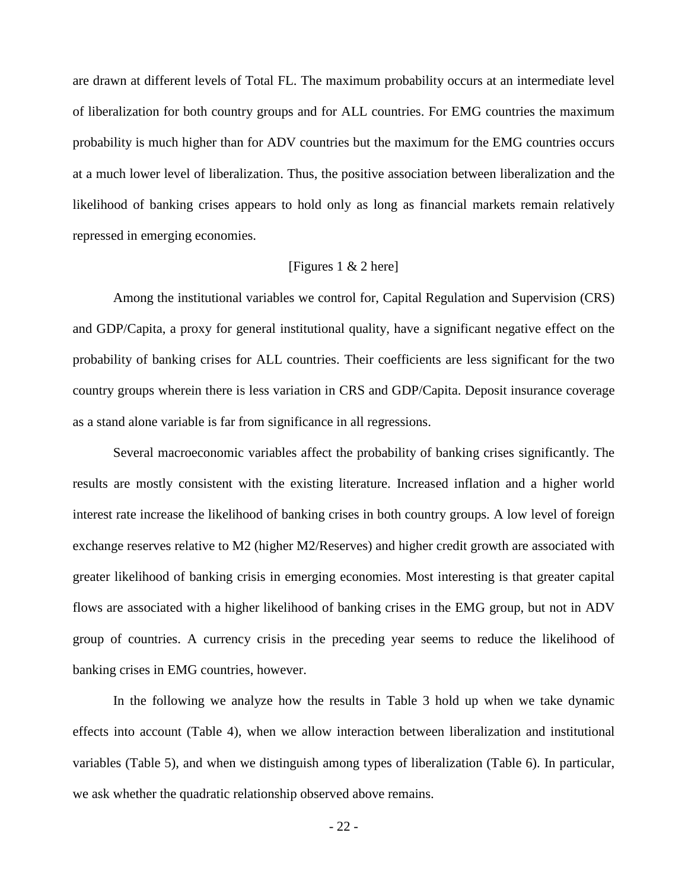are drawn at different levels of Total FL. The maximum probability occurs at an intermediate level of liberalization for both country groups and for ALL countries. For EMG countries the maximum probability is much higher than for ADV countries but the maximum for the EMG countries occurs at a much lower level of liberalization. Thus, the positive association between liberalization and the likelihood of banking crises appears to hold only as long as financial markets remain relatively repressed in emerging economies.

#### [Figures 1 & 2 here]

Among the institutional variables we control for, Capital Regulation and Supervision (CRS) and GDP/Capita, a proxy for general institutional quality, have a significant negative effect on the probability of banking crises for ALL countries. Their coefficients are less significant for the two country groups wherein there is less variation in CRS and GDP/Capita. Deposit insurance coverage as a stand alone variable is far from significance in all regressions.

Several macroeconomic variables affect the probability of banking crises significantly. The results are mostly consistent with the existing literature. Increased inflation and a higher world interest rate increase the likelihood of banking crises in both country groups. A low level of foreign exchange reserves relative to M2 (higher M2/Reserves) and higher credit growth are associated with greater likelihood of banking crisis in emerging economies. Most interesting is that greater capital flows are associated with a higher likelihood of banking crises in the EMG group, but not in ADV group of countries. A currency crisis in the preceding year seems to reduce the likelihood of banking crises in EMG countries, however.

In the following we analyze how the results in Table 3 hold up when we take dynamic effects into account (Table 4), when we allow interaction between liberalization and institutional variables (Table 5), and when we distinguish among types of liberalization (Table 6). In particular, we ask whether the quadratic relationship observed above remains.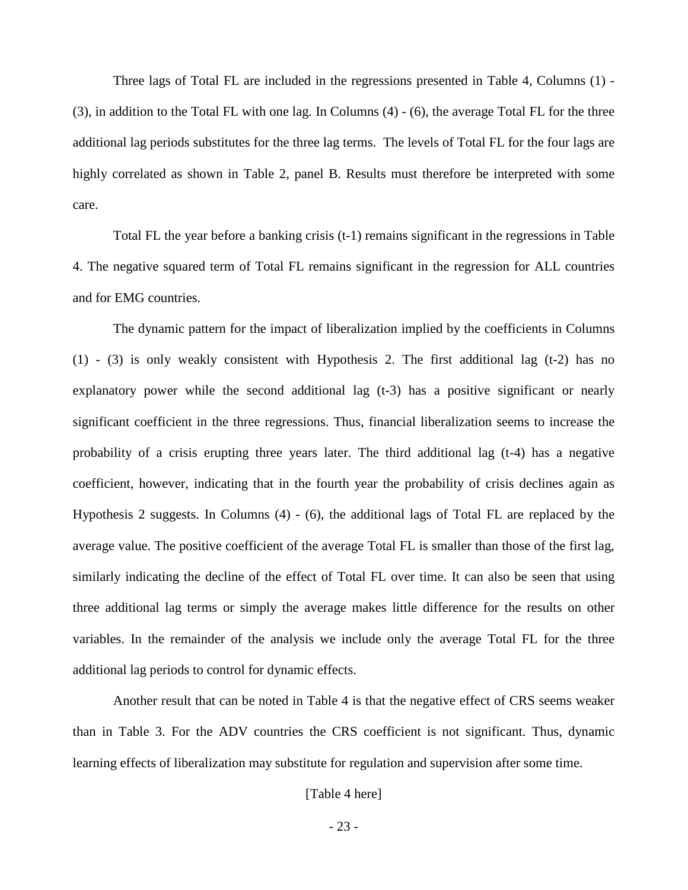Three lags of Total FL are included in the regressions presented in Table 4, Columns (1) - (3), in addition to the Total FL with one lag. In Columns (4) - (6), the average Total FL for the three additional lag periods substitutes for the three lag terms. The levels of Total FL for the four lags are highly correlated as shown in Table 2, panel B. Results must therefore be interpreted with some care.

Total FL the year before a banking crisis (t-1) remains significant in the regressions in Table 4. The negative squared term of Total FL remains significant in the regression for ALL countries and for EMG countries.

The dynamic pattern for the impact of liberalization implied by the coefficients in Columns (1) - (3) is only weakly consistent with Hypothesis 2. The first additional lag (t-2) has no explanatory power while the second additional lag (t-3) has a positive significant or nearly significant coefficient in the three regressions. Thus, financial liberalization seems to increase the probability of a crisis erupting three years later. The third additional lag (t-4) has a negative coefficient, however, indicating that in the fourth year the probability of crisis declines again as Hypothesis 2 suggests. In Columns (4) - (6), the additional lags of Total FL are replaced by the average value. The positive coefficient of the average Total FL is smaller than those of the first lag, similarly indicating the decline of the effect of Total FL over time. It can also be seen that using three additional lag terms or simply the average makes little difference for the results on other variables. In the remainder of the analysis we include only the average Total FL for the three additional lag periods to control for dynamic effects.

Another result that can be noted in Table 4 is that the negative effect of CRS seems weaker than in Table 3. For the ADV countries the CRS coefficient is not significant. Thus, dynamic learning effects of liberalization may substitute for regulation and supervision after some time.

#### [Table 4 here]

- 23 -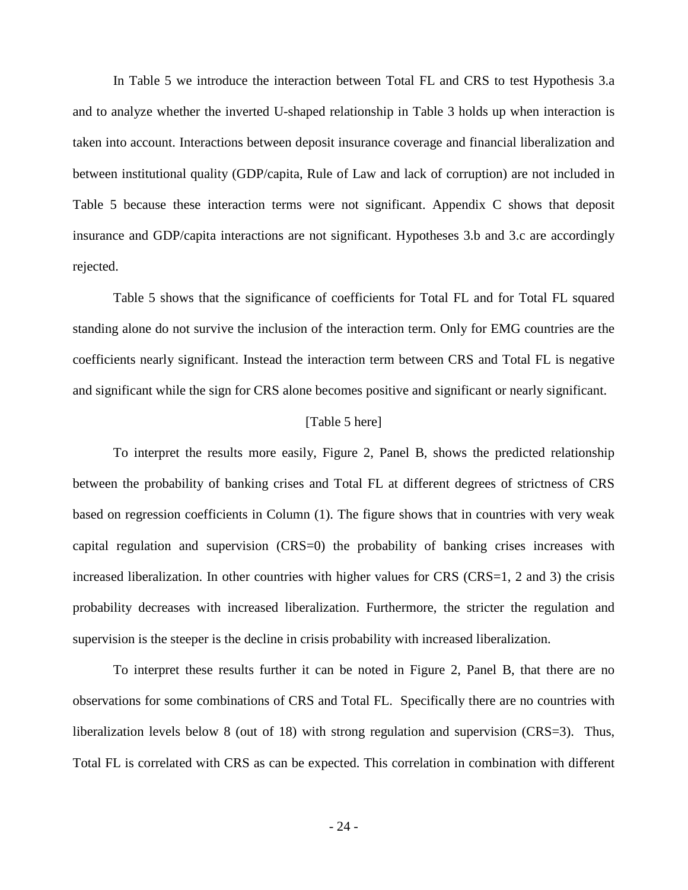In Table 5 we introduce the interaction between Total FL and CRS to test Hypothesis 3.a and to analyze whether the inverted U-shaped relationship in Table 3 holds up when interaction is taken into account. Interactions between deposit insurance coverage and financial liberalization and between institutional quality (GDP/capita, Rule of Law and lack of corruption) are not included in Table 5 because these interaction terms were not significant. Appendix C shows that deposit insurance and GDP/capita interactions are not significant. Hypotheses 3.b and 3.c are accordingly rejected.

Table 5 shows that the significance of coefficients for Total FL and for Total FL squared standing alone do not survive the inclusion of the interaction term. Only for EMG countries are the coefficients nearly significant. Instead the interaction term between CRS and Total FL is negative and significant while the sign for CRS alone becomes positive and significant or nearly significant.

#### [Table 5 here]

To interpret the results more easily, Figure 2, Panel B, shows the predicted relationship between the probability of banking crises and Total FL at different degrees of strictness of CRS based on regression coefficients in Column (1). The figure shows that in countries with very weak capital regulation and supervision (CRS=0) the probability of banking crises increases with increased liberalization. In other countries with higher values for CRS (CRS=1, 2 and 3) the crisis probability decreases with increased liberalization. Furthermore, the stricter the regulation and supervision is the steeper is the decline in crisis probability with increased liberalization.

To interpret these results further it can be noted in Figure 2, Panel B, that there are no observations for some combinations of CRS and Total FL. Specifically there are no countries with liberalization levels below 8 (out of 18) with strong regulation and supervision (CRS=3). Thus, Total FL is correlated with CRS as can be expected. This correlation in combination with different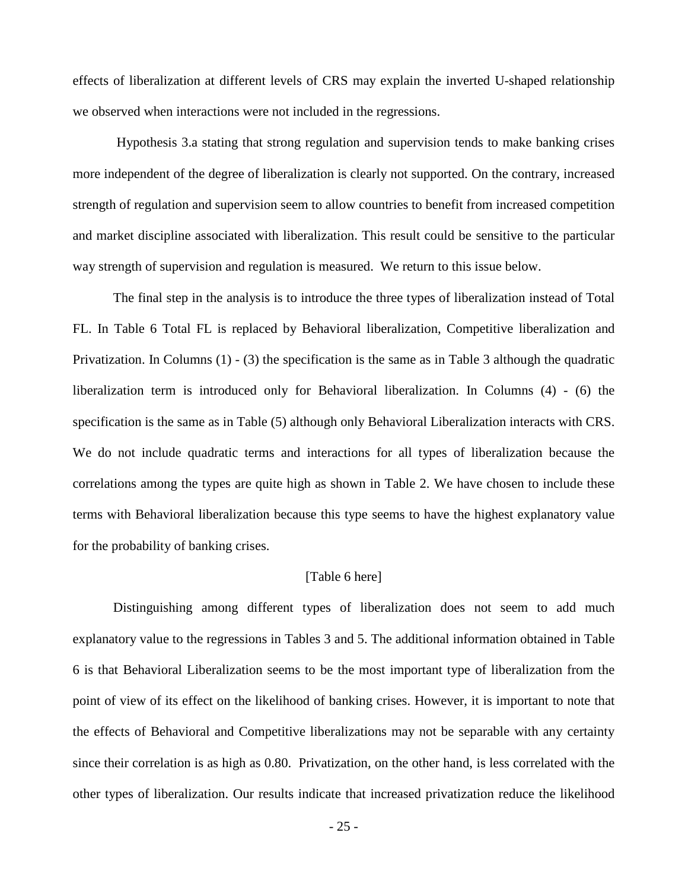effects of liberalization at different levels of CRS may explain the inverted U-shaped relationship we observed when interactions were not included in the regressions.

Hypothesis 3.a stating that strong regulation and supervision tends to make banking crises more independent of the degree of liberalization is clearly not supported. On the contrary, increased strength of regulation and supervision seem to allow countries to benefit from increased competition and market discipline associated with liberalization. This result could be sensitive to the particular way strength of supervision and regulation is measured. We return to this issue below.

The final step in the analysis is to introduce the three types of liberalization instead of Total FL. In Table 6 Total FL is replaced by Behavioral liberalization, Competitive liberalization and Privatization. In Columns (1) - (3) the specification is the same as in Table 3 although the quadratic liberalization term is introduced only for Behavioral liberalization. In Columns (4) - (6) the specification is the same as in Table (5) although only Behavioral Liberalization interacts with CRS. We do not include quadratic terms and interactions for all types of liberalization because the correlations among the types are quite high as shown in Table 2. We have chosen to include these terms with Behavioral liberalization because this type seems to have the highest explanatory value for the probability of banking crises.

#### [Table 6 here]

Distinguishing among different types of liberalization does not seem to add much explanatory value to the regressions in Tables 3 and 5. The additional information obtained in Table 6 is that Behavioral Liberalization seems to be the most important type of liberalization from the point of view of its effect on the likelihood of banking crises. However, it is important to note that the effects of Behavioral and Competitive liberalizations may not be separable with any certainty since their correlation is as high as 0.80. Privatization, on the other hand, is less correlated with the other types of liberalization. Our results indicate that increased privatization reduce the likelihood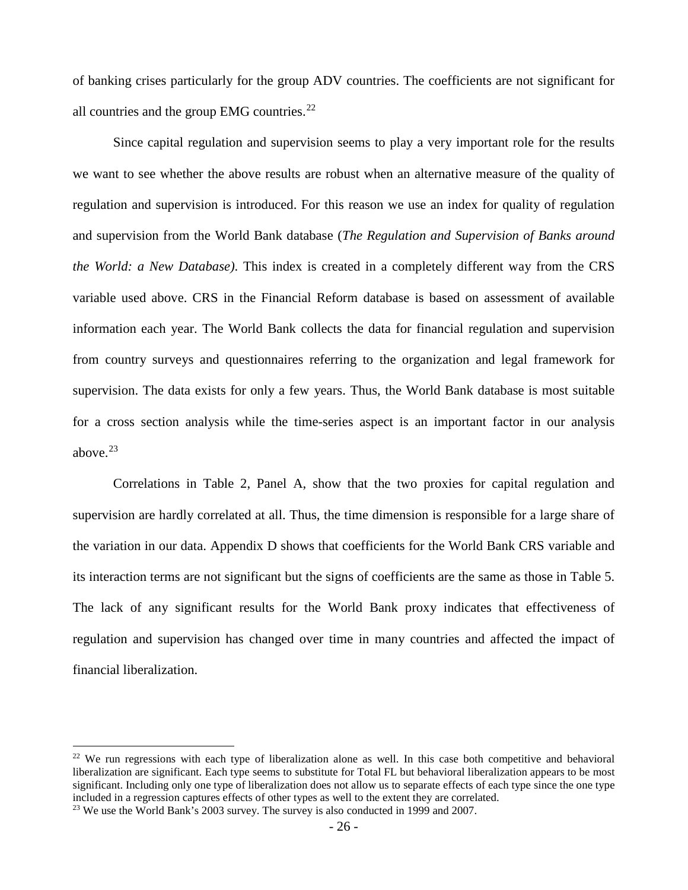of banking crises particularly for the group ADV countries. The coefficients are not significant for all countries and the group EMG countries. $^{22}$  $^{22}$  $^{22}$ 

Since capital regulation and supervision seems to play a very important role for the results we want to see whether the above results are robust when an alternative measure of the quality of regulation and supervision is introduced. For this reason we use an index for quality of regulation and supervision from the World Bank database (*The Regulation and Supervision of Banks around the World: a New Database)*. This index is created in a completely different way from the CRS variable used above. CRS in the Financial Reform database is based on assessment of available information each year. The World Bank collects the data for financial regulation and supervision from country surveys and questionnaires referring to the organization and legal framework for supervision. The data exists for only a few years. Thus, the World Bank database is most suitable for a cross section analysis while the time-series aspect is an important factor in our analysis above. $23$ 

Correlations in Table 2, Panel A, show that the two proxies for capital regulation and supervision are hardly correlated at all. Thus, the time dimension is responsible for a large share of the variation in our data. Appendix D shows that coefficients for the World Bank CRS variable and its interaction terms are not significant but the signs of coefficients are the same as those in Table 5. The lack of any significant results for the World Bank proxy indicates that effectiveness of regulation and supervision has changed over time in many countries and affected the impact of financial liberalization.

<span id="page-28-1"></span><span id="page-28-0"></span><sup>&</sup>lt;sup>22</sup> We run regressions with each type of liberalization alone as well. In this case both competitive and behavioral liberalization are significant. Each type seems to substitute for Total FL but behavioral liberalization appears to be most significant. Including only one type of liberalization does not allow us to separate effects of each type since the one type included in a regression captures effects of other types as well to the extent they are correlated. 23 We use the World Bank's 2003 survey. The survey is also conducted in 1999 and 2007.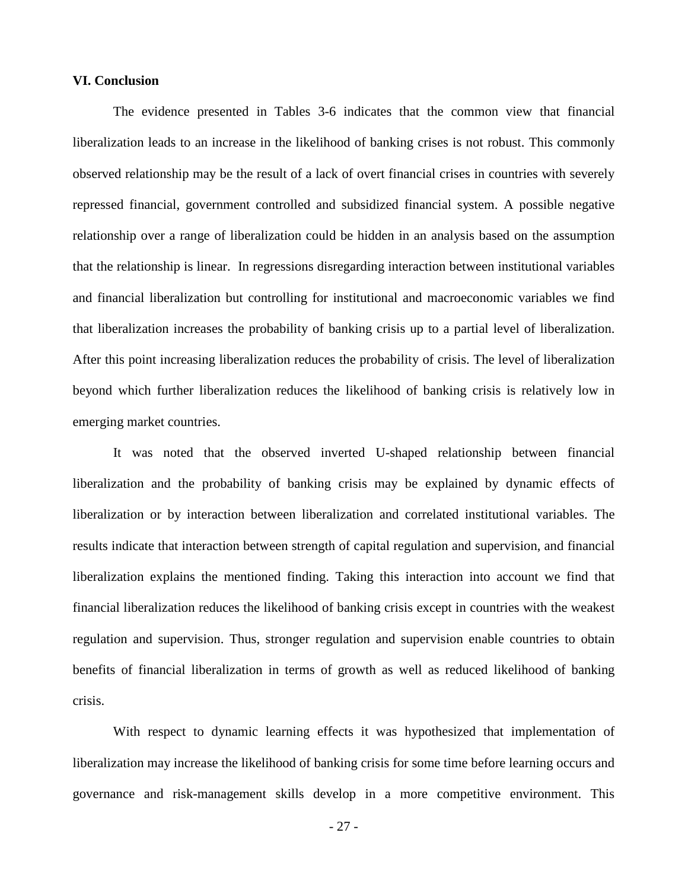#### **VI. Conclusion**

The evidence presented in Tables 3-6 indicates that the common view that financial liberalization leads to an increase in the likelihood of banking crises is not robust. This commonly observed relationship may be the result of a lack of overt financial crises in countries with severely repressed financial, government controlled and subsidized financial system. A possible negative relationship over a range of liberalization could be hidden in an analysis based on the assumption that the relationship is linear. In regressions disregarding interaction between institutional variables and financial liberalization but controlling for institutional and macroeconomic variables we find that liberalization increases the probability of banking crisis up to a partial level of liberalization. After this point increasing liberalization reduces the probability of crisis. The level of liberalization beyond which further liberalization reduces the likelihood of banking crisis is relatively low in emerging market countries.

It was noted that the observed inverted U-shaped relationship between financial liberalization and the probability of banking crisis may be explained by dynamic effects of liberalization or by interaction between liberalization and correlated institutional variables. The results indicate that interaction between strength of capital regulation and supervision, and financial liberalization explains the mentioned finding. Taking this interaction into account we find that financial liberalization reduces the likelihood of banking crisis except in countries with the weakest regulation and supervision. Thus, stronger regulation and supervision enable countries to obtain benefits of financial liberalization in terms of growth as well as reduced likelihood of banking crisis.

With respect to dynamic learning effects it was hypothesized that implementation of liberalization may increase the likelihood of banking crisis for some time before learning occurs and governance and risk-management skills develop in a more competitive environment. This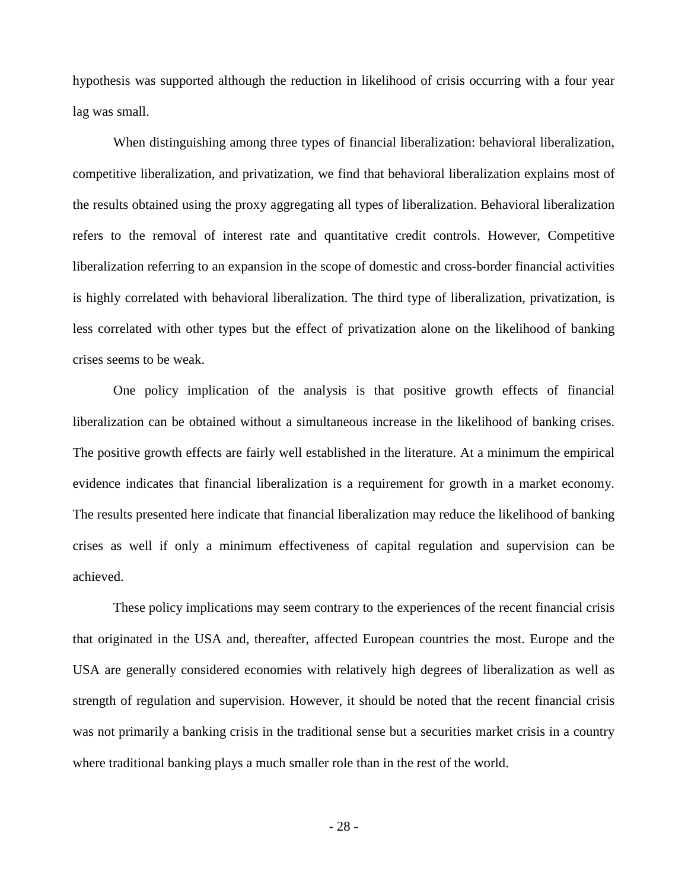hypothesis was supported although the reduction in likelihood of crisis occurring with a four year lag was small.

When distinguishing among three types of financial liberalization: behavioral liberalization, competitive liberalization, and privatization, we find that behavioral liberalization explains most of the results obtained using the proxy aggregating all types of liberalization. Behavioral liberalization refers to the removal of interest rate and quantitative credit controls. However, Competitive liberalization referring to an expansion in the scope of domestic and cross-border financial activities is highly correlated with behavioral liberalization. The third type of liberalization, privatization, is less correlated with other types but the effect of privatization alone on the likelihood of banking crises seems to be weak.

One policy implication of the analysis is that positive growth effects of financial liberalization can be obtained without a simultaneous increase in the likelihood of banking crises. The positive growth effects are fairly well established in the literature. At a minimum the empirical evidence indicates that financial liberalization is a requirement for growth in a market economy. The results presented here indicate that financial liberalization may reduce the likelihood of banking crises as well if only a minimum effectiveness of capital regulation and supervision can be achieved.

These policy implications may seem contrary to the experiences of the recent financial crisis that originated in the USA and, thereafter, affected European countries the most. Europe and the USA are generally considered economies with relatively high degrees of liberalization as well as strength of regulation and supervision. However, it should be noted that the recent financial crisis was not primarily a banking crisis in the traditional sense but a securities market crisis in a country where traditional banking plays a much smaller role than in the rest of the world.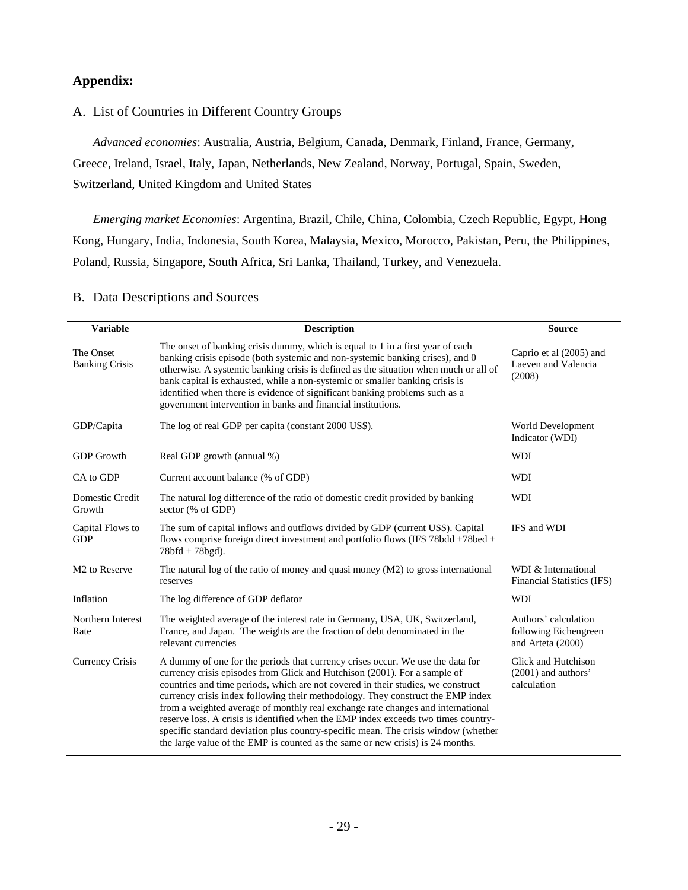#### **Appendix:**

A. List of Countries in Different Country Groups

*Advanced economies*: Australia, Austria, Belgium, Canada, Denmark, Finland, France, Germany, Greece, Ireland, Israel, Italy, Japan, Netherlands, New Zealand, Norway, Portugal, Spain, Sweden, Switzerland, United Kingdom and United States

*Emerging market Economies*: Argentina, Brazil, Chile, China, Colombia, Czech Republic, Egypt, Hong Kong, Hungary, India, Indonesia, South Korea, Malaysia, Mexico, Morocco, Pakistan, Peru, the Philippines, Poland, Russia, Singapore, South Africa, Sri Lanka, Thailand, Turkey, and Venezuela.

| <b>Variable</b>                    | <b>Description</b>                                                                                                                                                                                                                                                                                                                                                                                                                                                                                                                                                                                                                                                                  | <b>Source</b>                                                      |
|------------------------------------|-------------------------------------------------------------------------------------------------------------------------------------------------------------------------------------------------------------------------------------------------------------------------------------------------------------------------------------------------------------------------------------------------------------------------------------------------------------------------------------------------------------------------------------------------------------------------------------------------------------------------------------------------------------------------------------|--------------------------------------------------------------------|
| The Onset<br><b>Banking Crisis</b> | The onset of banking crisis dummy, which is equal to 1 in a first year of each<br>banking crisis episode (both systemic and non-systemic banking crises), and 0<br>otherwise. A systemic banking crisis is defined as the situation when much or all of<br>bank capital is exhausted, while a non-systemic or smaller banking crisis is<br>identified when there is evidence of significant banking problems such as a<br>government intervention in banks and financial institutions.                                                                                                                                                                                              | Caprio et al (2005) and<br>Laeven and Valencia<br>(2008)           |
| GDP/Capita                         | The log of real GDP per capita (constant 2000 US\$).                                                                                                                                                                                                                                                                                                                                                                                                                                                                                                                                                                                                                                | World Development<br>Indicator (WDI)                               |
| <b>GDP</b> Growth                  | Real GDP growth (annual %)                                                                                                                                                                                                                                                                                                                                                                                                                                                                                                                                                                                                                                                          | <b>WDI</b>                                                         |
| CA to GDP                          | Current account balance (% of GDP)                                                                                                                                                                                                                                                                                                                                                                                                                                                                                                                                                                                                                                                  | <b>WDI</b>                                                         |
| Domestic Credit<br>Growth          | The natural log difference of the ratio of domestic credit provided by banking<br>sector (% of GDP)                                                                                                                                                                                                                                                                                                                                                                                                                                                                                                                                                                                 | <b>WDI</b>                                                         |
| Capital Flows to<br><b>GDP</b>     | The sum of capital inflows and outflows divided by GDP (current US\$). Capital<br>flows comprise foreign direct investment and portfolio flows (IFS 78bdd +78bed +<br>$78bfd + 78bgd$ ).                                                                                                                                                                                                                                                                                                                                                                                                                                                                                            | IFS and WDI                                                        |
| M <sub>2</sub> to Reserve          | The natural log of the ratio of money and quasi money $(M2)$ to gross international<br>reserves                                                                                                                                                                                                                                                                                                                                                                                                                                                                                                                                                                                     | WDI & International<br>Financial Statistics (IFS)                  |
| Inflation                          | The log difference of GDP deflator                                                                                                                                                                                                                                                                                                                                                                                                                                                                                                                                                                                                                                                  | <b>WDI</b>                                                         |
| Northern Interest<br>Rate          | The weighted average of the interest rate in Germany, USA, UK, Switzerland,<br>France, and Japan. The weights are the fraction of debt denominated in the<br>relevant currencies                                                                                                                                                                                                                                                                                                                                                                                                                                                                                                    | Authors' calculation<br>following Eichengreen<br>and Arteta (2000) |
| Currency Crisis                    | A dummy of one for the periods that currency crises occur. We use the data for<br>currency crisis episodes from Glick and Hutchison (2001). For a sample of<br>countries and time periods, which are not covered in their studies, we construct<br>currency crisis index following their methodology. They construct the EMP index<br>from a weighted average of monthly real exchange rate changes and international<br>reserve loss. A crisis is identified when the EMP index exceeds two times country-<br>specific standard deviation plus country-specific mean. The crisis window (whether<br>the large value of the EMP is counted as the same or new crisis) is 24 months. | Glick and Hutchison<br>(2001) and authors'<br>calculation          |

#### B. Data Descriptions and Sources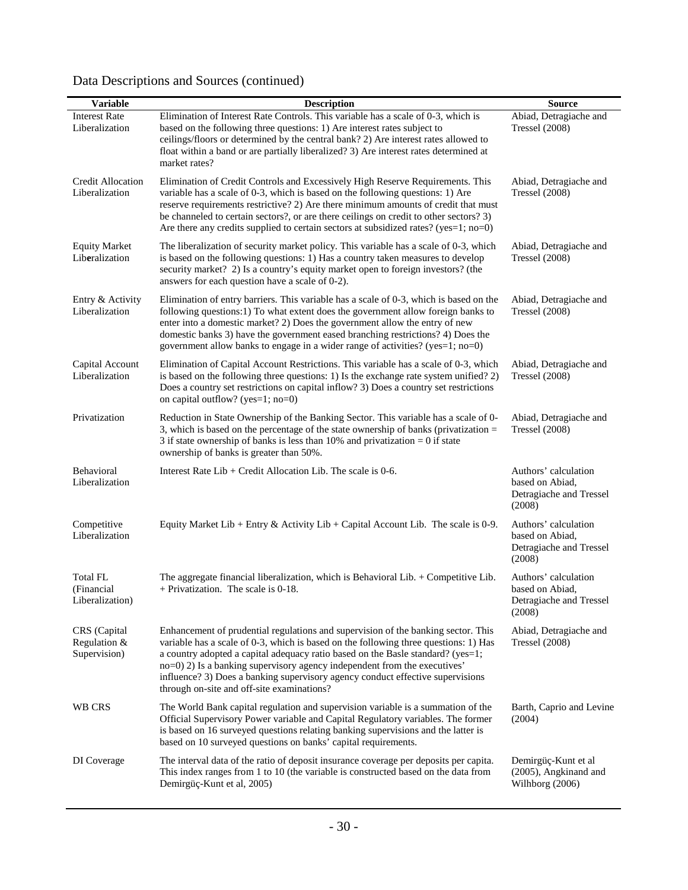| Data Descriptions and Sources (continued) |  |
|-------------------------------------------|--|
|-------------------------------------------|--|

| <b>Variable</b>                              | <b>Description</b>                                                                                                                                                                                                                                                                                                                                                                                                                                                        | <b>Source</b>                                                                |
|----------------------------------------------|---------------------------------------------------------------------------------------------------------------------------------------------------------------------------------------------------------------------------------------------------------------------------------------------------------------------------------------------------------------------------------------------------------------------------------------------------------------------------|------------------------------------------------------------------------------|
| <b>Interest Rate</b><br>Liberalization       | Elimination of Interest Rate Controls. This variable has a scale of 0-3, which is<br>based on the following three questions: 1) Are interest rates subject to<br>ceilings/floors or determined by the central bank? 2) Are interest rates allowed to<br>float within a band or are partially liberalized? 3) Are interest rates determined at<br>market rates?                                                                                                            | Abiad, Detragiache and<br><b>Tressel</b> (2008)                              |
| Credit Allocation<br>Liberalization          | Elimination of Credit Controls and Excessively High Reserve Requirements. This<br>variable has a scale of 0-3, which is based on the following questions: 1) Are<br>reserve requirements restrictive? 2) Are there minimum amounts of credit that must<br>be channeled to certain sectors?, or are there ceilings on credit to other sectors? 3)<br>Are there any credits supplied to certain sectors at subsidized rates? ( $yes=1$ ; $no=0$ )                           | Abiad, Detragiache and<br><b>Tressel</b> (2008)                              |
| <b>Equity Market</b><br>Liberalization       | The liberalization of security market policy. This variable has a scale of 0-3, which<br>is based on the following questions: 1) Has a country taken measures to develop<br>security market? 2) Is a country's equity market open to foreign investors? (the<br>answers for each question have a scale of 0-2).                                                                                                                                                           | Abiad, Detragiache and<br>Tressel $(2008)$                                   |
| Entry & Activity<br>Liberalization           | Elimination of entry barriers. This variable has a scale of 0-3, which is based on the<br>following questions:1) To what extent does the government allow foreign banks to<br>enter into a domestic market? 2) Does the government allow the entry of new<br>domestic banks 3) have the government eased branching restrictions? 4) Does the<br>government allow banks to engage in a wider range of activities? (yes=1; no=0)                                            | Abiad, Detragiache and<br>Tressel $(2008)$                                   |
| Capital Account<br>Liberalization            | Elimination of Capital Account Restrictions. This variable has a scale of 0-3, which<br>is based on the following three questions: 1) Is the exchange rate system unified? 2)<br>Does a country set restrictions on capital inflow? 3) Does a country set restrictions<br>on capital outflow? ( $yes=1$ ; no=0)                                                                                                                                                           | Abiad, Detragiache and<br>Tressel $(2008)$                                   |
| Privatization                                | Reduction in State Ownership of the Banking Sector. This variable has a scale of 0-<br>3, which is based on the percentage of the state ownership of banks (privatization $=$<br>3 if state ownership of banks is less than 10% and privatization $= 0$ if state<br>ownership of banks is greater than 50%.                                                                                                                                                               | Abiad, Detragiache and<br><b>Tressel</b> (2008)                              |
| Behavioral<br>Liberalization                 | Interest Rate $Lib$ + Credit Allocation Lib. The scale is 0-6.                                                                                                                                                                                                                                                                                                                                                                                                            | Authors' calculation<br>based on Abiad,<br>Detragiache and Tressel<br>(2008) |
| Competitive<br>Liberalization                | Equity Market Lib + Entry & Activity Lib + Capital Account Lib. The scale is 0-9.                                                                                                                                                                                                                                                                                                                                                                                         | Authors' calculation<br>based on Abiad,<br>Detragiache and Tressel<br>(2008) |
| Total FL<br>(Financial<br>Liberalization)    | The aggregate financial liberalization, which is Behavioral Lib. + Competitive Lib.<br>$+$ Privatization. The scale is 0-18.                                                                                                                                                                                                                                                                                                                                              | Authors' calculation<br>based on Abiad,<br>Detragiache and Tressel<br>(2008) |
| CRS (Capital<br>Regulation &<br>Supervision) | Enhancement of prudential regulations and supervision of the banking sector. This<br>variable has a scale of 0-3, which is based on the following three questions: 1) Has<br>a country adopted a capital adequacy ratio based on the Basle standard? (yes=1;<br>no=0) 2) Is a banking supervisory agency independent from the executives'<br>influence? 3) Does a banking supervisory agency conduct effective supervisions<br>through on-site and off-site examinations? | Abiad, Detragiache and<br>Tressel $(2008)$                                   |
| WB CRS                                       | The World Bank capital regulation and supervision variable is a summation of the<br>Official Supervisory Power variable and Capital Regulatory variables. The former<br>is based on 16 surveyed questions relating banking supervisions and the latter is<br>based on 10 surveyed questions on banks' capital requirements.                                                                                                                                               | Barth, Caprio and Levine<br>(2004)                                           |
| DI Coverage                                  | The interval data of the ratio of deposit insurance coverage per deposits per capita.<br>This index ranges from 1 to 10 (the variable is constructed based on the data from<br>Demirgüç-Kunt et al, 2005)                                                                                                                                                                                                                                                                 | Demirgüç-Kunt et al<br>(2005), Angkinand and<br>Wilhborg (2006)              |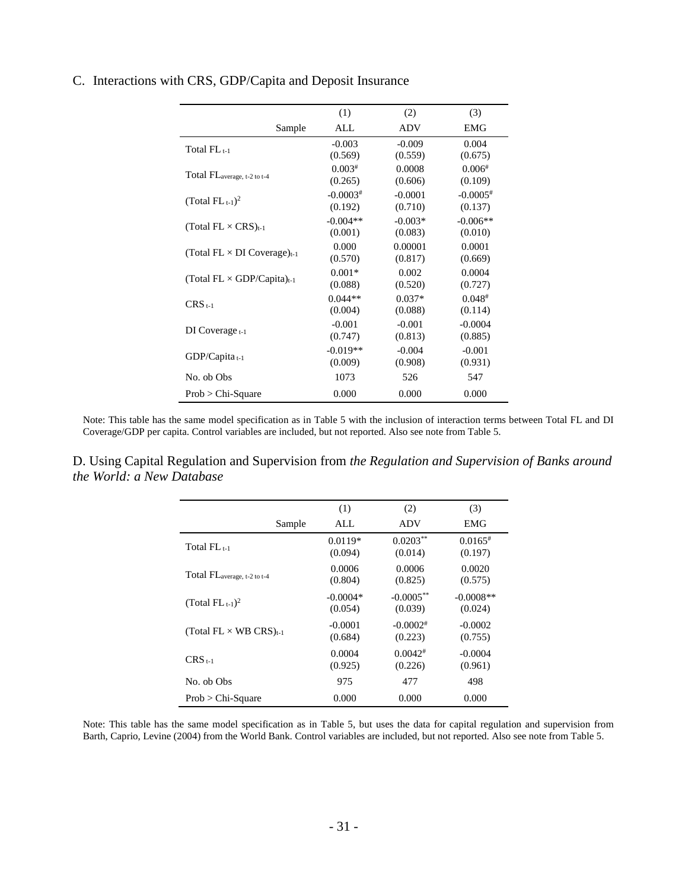|                                                | (1)        | (2)        | (3)          |
|------------------------------------------------|------------|------------|--------------|
| Sample                                         | ALL        | <b>ADV</b> | <b>EMG</b>   |
| Total $FL_{t-1}$                               | $-0.003$   | $-0.009$   | 0.004        |
|                                                | (0.569)    | (0.559)    | (0.675)      |
| Total FL <sub>average, t-2 to t-4</sub>        | $0.003*$   | 0.0008     | 0.006#       |
|                                                | (0.265)    | (0.606)    | (0.109)      |
| (Total $FL_{t-1}$ ) <sup>2</sup>               | $-0.0003*$ | $-0.0001$  | $-0.0005*$   |
|                                                | (0.192)    | (0.710)    | (0.137)      |
| (Total $FL \times CRS$ ) <sub>t-1</sub>        | $-0.004**$ | $-0.003*$  | $-0.006**$   |
|                                                | (0.001)    | (0.083)    | (0.010)      |
|                                                | 0.000      | 0.00001    | 0.0001       |
| (Total FL $\times$ DI Coverage) <sub>t-1</sub> | (0.570)    | (0.817)    | (0.669)      |
|                                                | $0.001*$   | 0.002      | 0.0004       |
| (Total $FL \times GDP/Capita$ ) <sub>t-1</sub> | (0.088)    | (0.520)    | (0.727)      |
| $CRS_{t-1}$                                    | $0.044**$  | $0.037*$   | $0.048^{\#}$ |
|                                                | (0.004)    | (0.088)    | (0.114)      |
|                                                | $-0.001$   | $-0.001$   | $-0.0004$    |
| $DI$ Coverage $t-1$                            | (0.747)    | (0.813)    | (0.885)      |
|                                                | $-0.019**$ | $-0.004$   | $-0.001$     |
| $GDP/Capita_{t-1}$                             | (0.009)    | (0.908)    | (0.931)      |
| No. ob Obs                                     | 1073       | 526        | 547          |
| $Prob > Chi-Square$                            | 0.000      | 0.000      | 0.000        |
|                                                |            |            |              |

#### C. Interactions with CRS, GDP/Capita and Deposit Insurance

Note: This table has the same model specification as in Table 5 with the inclusion of interaction terms between Total FL and DI Coverage/GDP per capita. Control variables are included, but not reported. Also see note from Table 5.

D. Using Capital Regulation and Supervision from *the Regulation and Supervision of Banks around the World: a New Database*

|                                           | (1)        | (2)          | (3)          |
|-------------------------------------------|------------|--------------|--------------|
| Sample                                    | ALL.       | ADV          | <b>EMG</b>   |
| $Total FLt-1$                             | $0.0119*$  | $0.0203**$   | $0.0165^{*}$ |
|                                           | (0.094)    | (0.014)      | (0.197)      |
| Total FL <sub>average, t-2 to t-4</sub>   | 0.0006     | 0.0006       | 0.0020       |
|                                           | (0.804)    | (0.825)      | (0.575)      |
| (Total FL $_{t-1}$ ) <sup>2</sup>         | $-0.0004*$ | $-0.0005***$ | $-0.0008**$  |
|                                           | (0.054)    | (0.039)      | (0.024)      |
| (Total FL $\times$ WB CRS) <sub>t-1</sub> | $-0.0001$  | $-0.0002$ #  | $-0.0002$    |
|                                           | (0.684)    | (0.223)      | (0.755)      |
| $CRS_{\pm 1}$                             | 0.0004     | $0.0042*$    | $-0.0004$    |
|                                           | (0.925)    | (0.226)      | (0.961)      |
| No. ob Obs                                | 975        | 477          | 498          |
| $Prob > Chi-Square$                       | 0.000      | 0.000        | 0.000        |

Note: This table has the same model specification as in Table 5, but uses the data for capital regulation and supervision from Barth, Caprio, Levine (2004) from the World Bank. Control variables are included, but not reported. Also see note from Table 5.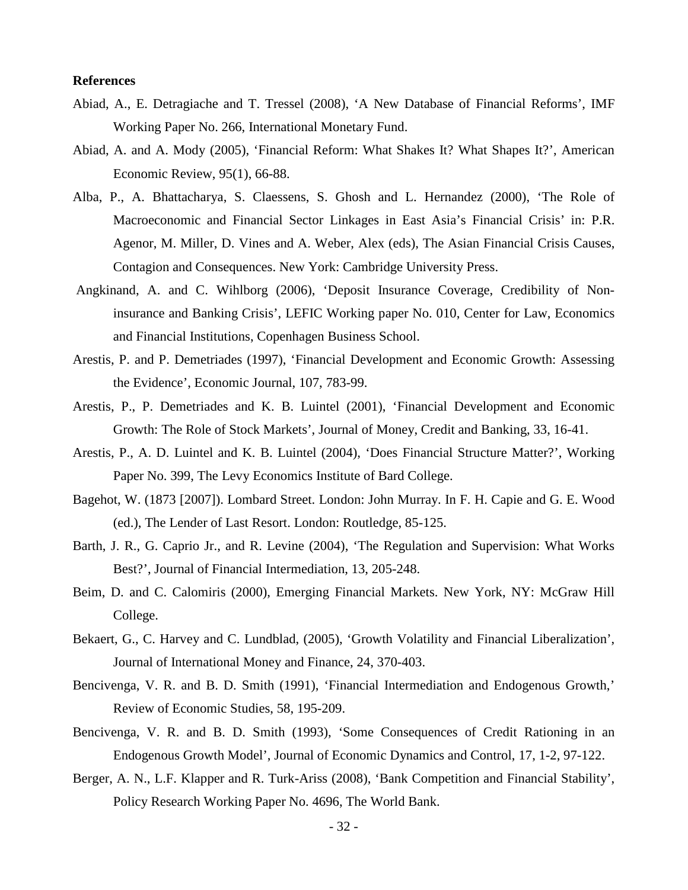#### **References**

- Abiad, A., E. Detragiache and T. Tressel (2008), 'A New Database of Financial Reforms', IMF Working Paper No. 266, International Monetary Fund.
- Abiad, A. and A. Mody (2005), 'Financial Reform: What Shakes It? What Shapes It?', American Economic Review, 95(1), 66-88.
- Alba, P., A. Bhattacharya, S. Claessens, S. Ghosh and L. Hernandez (2000), 'The Role of Macroeconomic and Financial Sector Linkages in East Asia's Financial Crisis' in: P.R. Agenor, M. Miller, D. Vines and A. Weber, Alex (eds), The Asian Financial Crisis Causes, Contagion and Consequences. New York: Cambridge University Press.
- Angkinand, A. and C. Wihlborg (2006), 'Deposit Insurance Coverage, Credibility of Noninsurance and Banking Crisis', LEFIC Working paper No. 010, Center for Law, Economics and Financial Institutions, Copenhagen Business School.
- Arestis, P. and P. Demetriades (1997), 'Financial Development and Economic Growth: Assessing the Evidence', Economic Journal, 107, 783-99.
- Arestis, P., P. Demetriades and K. B. Luintel (2001), 'Financial Development and Economic Growth: The Role of Stock Markets', Journal of Money, Credit and Banking, 33, 16-41.
- Arestis, P., A. D. Luintel and K. B. Luintel (2004), 'Does Financial Structure Matter?', Working Paper No. 399, The Levy Economics Institute of Bard College.
- Bagehot, W. (1873 [2007]). Lombard Street. London: John Murray. In F. H. Capie and G. E. Wood (ed.), The Lender of Last Resort. London: Routledge, 85-125.
- Barth, J. R., G. Caprio Jr., and R. Levine (2004), 'The Regulation and Supervision: What Works Best?', Journal of Financial Intermediation, 13, 205-248.
- Beim, D. and C. Calomiris (2000), Emerging Financial Markets. New York, NY: McGraw Hill College.
- Bekaert, G., C. Harvey and C. Lundblad, (2005), 'Growth Volatility and Financial Liberalization', Journal of International Money and Finance, 24, 370-403.
- Bencivenga, V. R. and B. D. Smith (1991), 'Financial Intermediation and Endogenous Growth,' Review of Economic Studies, 58, 195-209.
- Bencivenga, V. R. and B. D. Smith (1993), 'Some Consequences of Credit Rationing in an Endogenous Growth Model', Journal of Economic Dynamics and Control, 17, 1-2, 97-122.
- Berger, A. N., L.F. Klapper and R. Turk-Ariss (2008), 'Bank Competition and Financial Stability', Policy Research Working Paper No. 4696, The World Bank.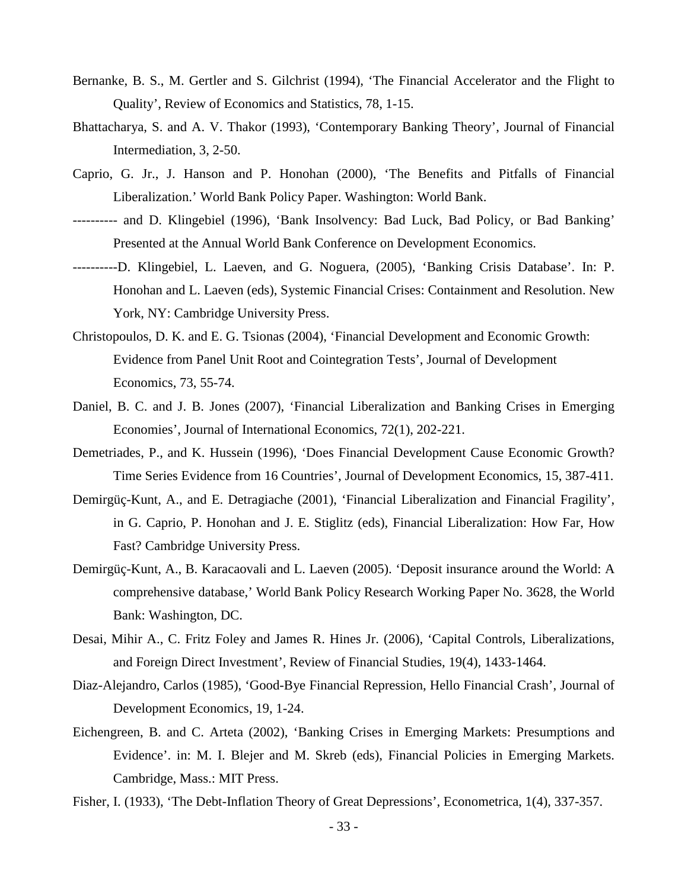- Bernanke, B. S., M. Gertler and S. Gilchrist (1994), 'The Financial Accelerator and the Flight to Quality', Review of Economics and Statistics, 78, 1-15.
- Bhattacharya, S. and A. V. Thakor (1993), 'Contemporary Banking Theory', Journal of Financial Intermediation, 3, 2-50.
- Caprio, G. Jr., J. Hanson and P. Honohan (2000), 'The Benefits and Pitfalls of Financial Liberalization.' World Bank Policy Paper. Washington: World Bank.
- ---------- and D. Klingebiel (1996), 'Bank Insolvency: Bad Luck, Bad Policy, or Bad Banking' Presented at the Annual World Bank Conference on Development Economics.
- ----------D. Klingebiel, L. Laeven, and G. Noguera, (2005), 'Banking Crisis Database'. In: P. Honohan and L. Laeven (eds), Systemic Financial Crises: Containment and Resolution. New York, NY: Cambridge University Press.
- Christopoulos, D. K. and E. G. Tsionas (2004), 'Financial Development and Economic Growth: Evidence from Panel Unit Root and Cointegration Tests', Journal of Development Economics, 73, 55-74.
- Daniel, B. C. and J. B. Jones (2007), 'Financial Liberalization and Banking Crises in Emerging Economies', Journal of International Economics, 72(1), 202-221.
- Demetriades, P., and K. Hussein (1996), 'Does Financial Development Cause Economic Growth? Time Series Evidence from 16 Countries', Journal of Development Economics, 15, 387-411.
- Demirgüç-Kunt, A., and E. Detragiache (2001), 'Financial Liberalization and Financial Fragility', in G. Caprio, P. Honohan and J. E. Stiglitz (eds), Financial Liberalization: How Far, How Fast? Cambridge University Press.
- Demirgüç-Kunt, A., B. Karacaovali and L. Laeven (2005). 'Deposit insurance around the World: A comprehensive database,' World Bank Policy Research Working Paper No. 3628, the World Bank: Washington, DC.
- Desai, Mihir A., C. Fritz Foley and James R. Hines Jr. (2006), 'Capital Controls, Liberalizations, and Foreign Direct Investment', Review of Financial Studies, 19(4), 1433-1464.
- Diaz-Alejandro, Carlos (1985), 'Good-Bye Financial Repression, Hello Financial Crash', Journal of Development Economics, 19, 1-24.
- Eichengreen, B. and C. Arteta (2002), 'Banking Crises in Emerging Markets: Presumptions and Evidence'. in: M. I. Blejer and M. Skreb (eds), Financial Policies in Emerging Markets. Cambridge, Mass.: MIT Press.
- Fisher, I. (1933), 'The Debt-Inflation Theory of Great Depressions', Econometrica, 1(4), 337-357.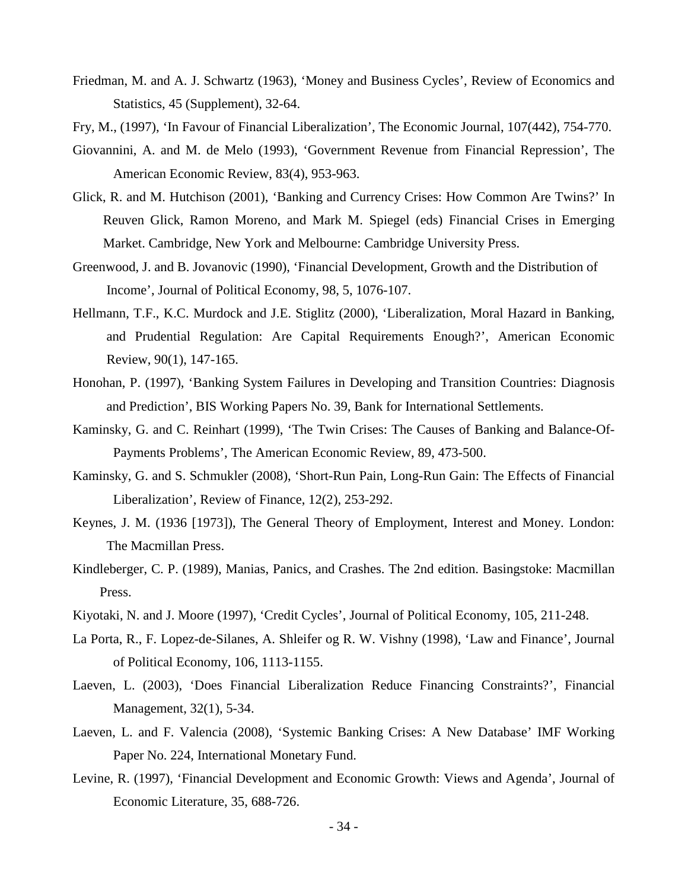- Friedman, M. and A. J. Schwartz (1963), 'Money and Business Cycles', Review of Economics and Statistics, 45 (Supplement), 32-64.
- Fry, M., (1997), 'In Favour of Financial Liberalization', The Economic Journal, 107(442), 754-770.
- Giovannini, A. and M. de Melo (1993), 'Government Revenue from Financial Repression', The American Economic Review, 83(4), 953-963.
- Glick, R. and M. Hutchison (2001), 'Banking and Currency Crises: How Common Are Twins?' In Reuven Glick, Ramon Moreno, and Mark M. Spiegel (eds) Financial Crises in Emerging Market. Cambridge, New York and Melbourne: Cambridge University Press.
- Greenwood, J. and B. Jovanovic (1990), 'Financial Development, Growth and the Distribution of Income', Journal of Political Economy, 98, 5, 1076-107.
- Hellmann, T.F., K.C. Murdock and J.E. Stiglitz (2000), 'Liberalization, Moral Hazard in Banking, and Prudential Regulation: Are Capital Requirements Enough?', American Economic Review, 90(1), 147-165.
- Honohan, P. (1997), 'Banking System Failures in Developing and Transition Countries: Diagnosis and Prediction', BIS Working Papers No. 39, Bank for International Settlements.
- Kaminsky, G. and C. Reinhart (1999), 'The Twin Crises: The Causes of Banking and Balance-Of-Payments Problems', The American Economic Review, 89, 473-500.
- Kaminsky, G. and S. Schmukler (2008), 'Short-Run Pain, Long-Run Gain: The Effects of Financial Liberalization', Review of Finance, 12(2), 253-292.
- Keynes, J. M. (1936 [1973]), The General Theory of Employment, Interest and Money. London: The Macmillan Press.
- Kindleberger, C. P. (1989), Manias, Panics, and Crashes. The 2nd edition. Basingstoke: Macmillan Press.
- Kiyotaki, N. and J. Moore (1997), 'Credit Cycles', Journal of Political Economy, 105, 211-248.
- La Porta, R., F. Lopez-de-Silanes, A. Shleifer og R. W. Vishny (1998), 'Law and Finance', Journal of Political Economy, 106, 1113-1155.
- Laeven, L. (2003), 'Does Financial Liberalization Reduce Financing Constraints?', Financial Management, 32(1), 5-34.
- Laeven, L. and F. Valencia (2008), 'Systemic Banking Crises: A New Database' IMF Working Paper No. 224, International Monetary Fund.
- Levine, R. (1997), 'Financial Development and Economic Growth: Views and Agenda', Journal of Economic Literature, 35, 688-726.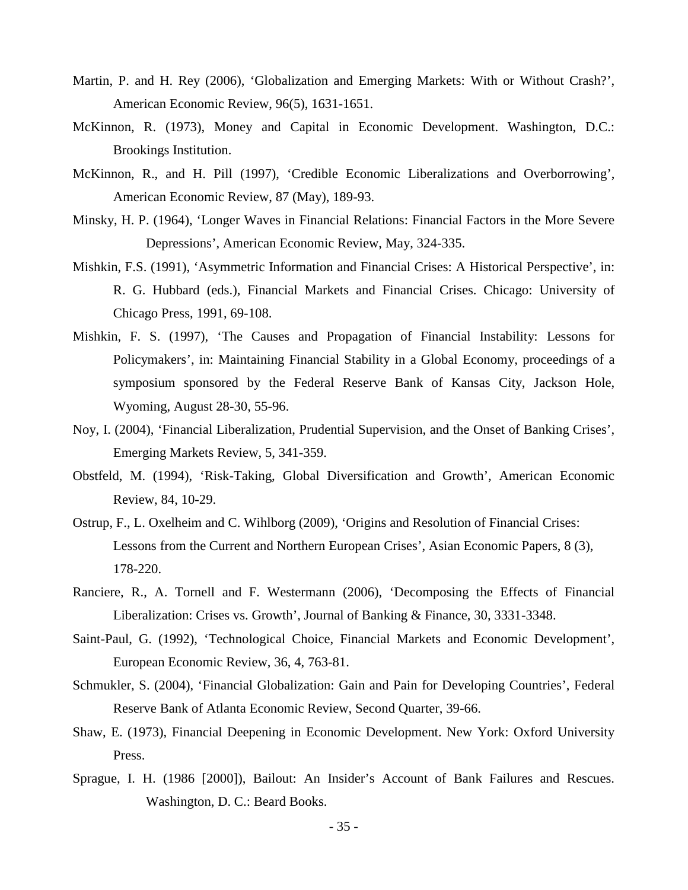- Martin, P. and H. Rey (2006), 'Globalization and Emerging Markets: With or Without Crash?', American Economic Review, 96(5), 1631-1651.
- McKinnon, R. (1973), Money and Capital in Economic Development. Washington, D.C.: Brookings Institution.
- McKinnon, R., and H. Pill (1997), 'Credible Economic Liberalizations and Overborrowing', American Economic Review, 87 (May), 189-93.
- Minsky, H. P. (1964), 'Longer Waves in Financial Relations: Financial Factors in the More Severe Depressions', American Economic Review, May, 324-335.
- Mishkin, F.S. (1991), 'Asymmetric Information and Financial Crises: A Historical Perspective', in: R. G. Hubbard (eds.), Financial Markets and Financial Crises. Chicago: University of Chicago Press, 1991, 69-108.
- Mishkin, F. S. (1997), 'The Causes and Propagation of Financial Instability: Lessons for Policymakers', in: Maintaining Financial Stability in a Global Economy, proceedings of a symposium sponsored by the Federal Reserve Bank of Kansas City, Jackson Hole, Wyoming, August 28-30, 55-96.
- Noy, I. (2004), 'Financial Liberalization, Prudential Supervision, and the Onset of Banking Crises', Emerging Markets Review, 5, 341-359.
- Obstfeld, M. (1994), 'Risk-Taking, Global Diversification and Growth', American Economic Review, 84, 10-29.
- Ostrup, F., L. Oxelheim and C. Wihlborg (2009), 'Origins and Resolution of Financial Crises: Lessons from the Current and Northern European Crises', Asian Economic Papers, 8 (3), 178-220.
- Ranciere, R., A. Tornell and F. Westermann (2006), 'Decomposing the Effects of Financial Liberalization: Crises vs. Growth', Journal of Banking & Finance, 30, 3331-3348.
- Saint-Paul, G. (1992), 'Technological Choice, Financial Markets and Economic Development', European Economic Review, 36, 4, 763-81.
- Schmukler, S. (2004), 'Financial Globalization: Gain and Pain for Developing Countries', Federal Reserve Bank of Atlanta Economic Review, Second Quarter, 39-66.
- Shaw, E. (1973), Financial Deepening in Economic Development. New York: Oxford University Press.
- Sprague, I. H. (1986 [2000]), Bailout: An Insider's Account of Bank Failures and Rescues. Washington, D. C.: Beard Books.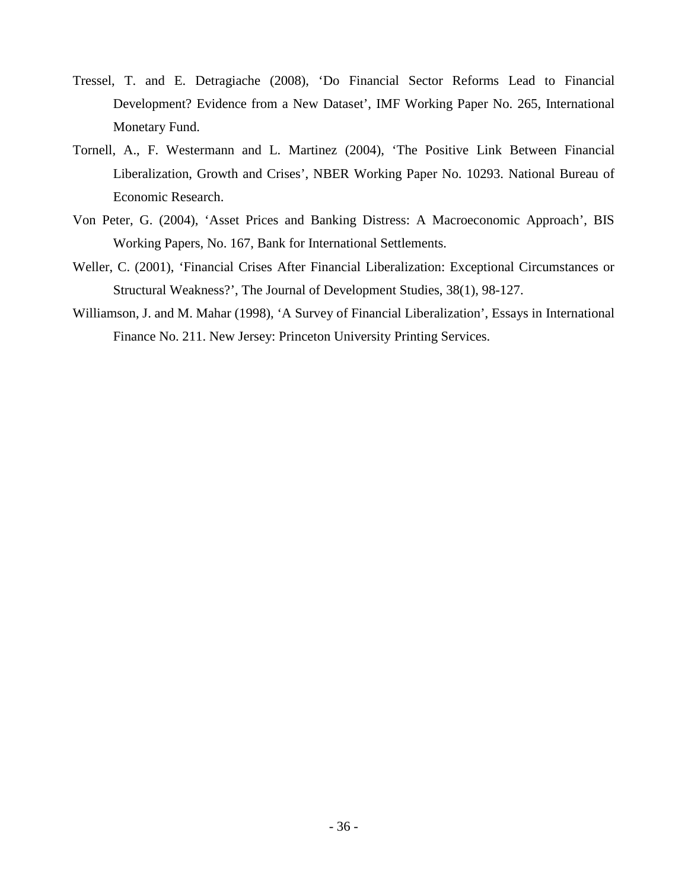- Tressel, T. and E. Detragiache (2008), 'Do Financial Sector Reforms Lead to Financial Development? Evidence from a New Dataset', IMF Working Paper No. 265, International Monetary Fund.
- Tornell, A., F. Westermann and L. Martinez (2004), 'The Positive Link Between Financial Liberalization, Growth and Crises', NBER Working Paper No. 10293. National Bureau of Economic Research.
- Von Peter, G. (2004), 'Asset Prices and Banking Distress: A Macroeconomic Approach', BIS Working Papers, No. 167, Bank for International Settlements.
- Weller, C. (2001), 'Financial Crises After Financial Liberalization: Exceptional Circumstances or Structural Weakness?', The Journal of Development Studies, 38(1), 98-127.
- Williamson, J. and M. Mahar (1998), 'A Survey of Financial Liberalization', Essays in International Finance No. 211. New Jersey: Princeton University Printing Services.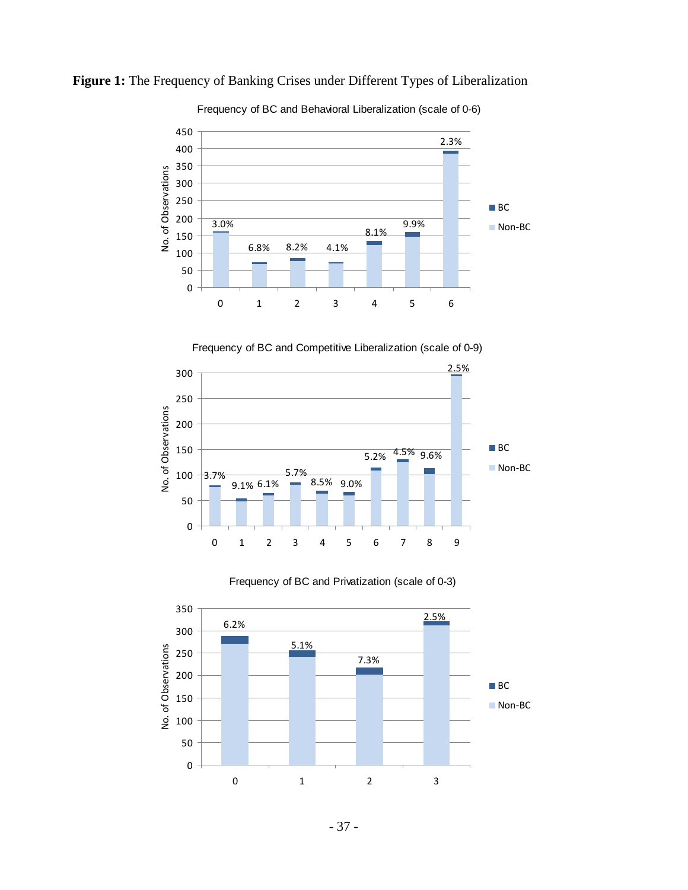

**Figure 1:** The Frequency of Banking Crises under Different Types of Liberalization

Frequency of BC and Behavioral Liberalization (scale of 0-6)

Frequency of BC and Competitive Liberalization (scale of 0-9)





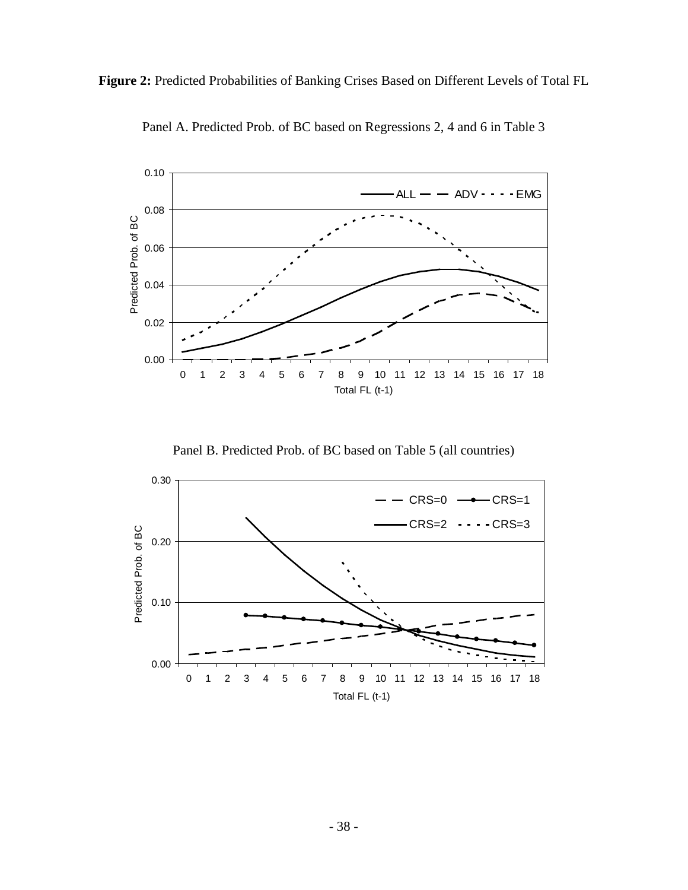**Figure 2:** Predicted Probabilities of Banking Crises Based on Different Levels of Total FL



Panel A. Predicted Prob. of BC based on Regressions 2, 4 and 6 in Table 3

Panel B. Predicted Prob. of BC based on Table 5 (all countries)

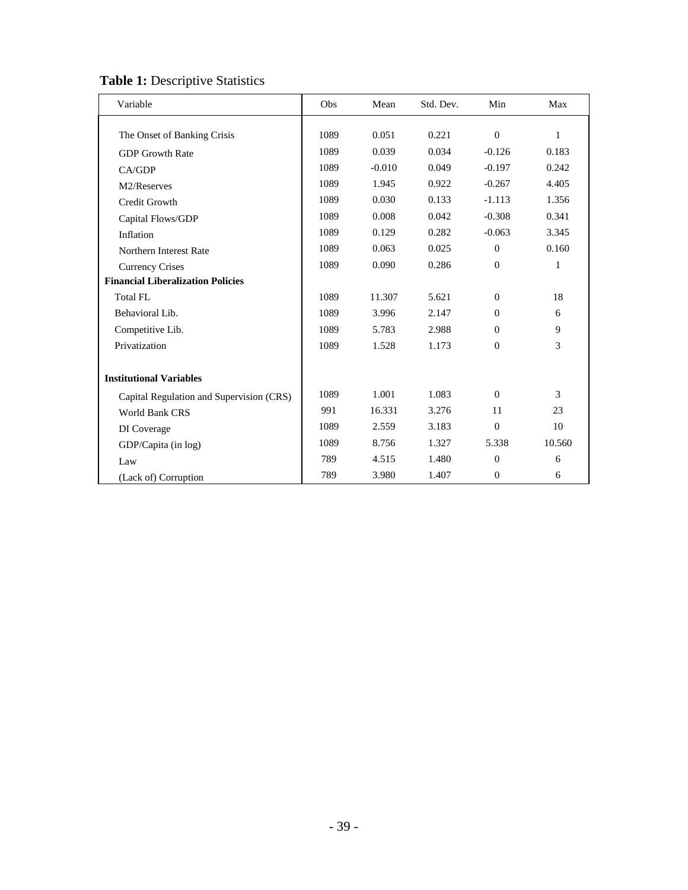### **Table 1:** Descriptive Statistics

| Variable                                 | Obs  | Mean     | Std. Dev. | Min            | Max    |
|------------------------------------------|------|----------|-----------|----------------|--------|
|                                          |      |          |           |                |        |
| The Onset of Banking Crisis              | 1089 | 0.051    | 0.221     | $\mathbf{0}$   | 1      |
| <b>GDP</b> Growth Rate                   | 1089 | 0.039    | 0.034     | $-0.126$       | 0.183  |
| CA/GDP                                   | 1089 | $-0.010$ | 0.049     | $-0.197$       | 0.242  |
| M2/Reserves                              | 1089 | 1.945    | 0.922     | $-0.267$       | 4.405  |
| Credit Growth                            | 1089 | 0.030    | 0.133     | $-1.113$       | 1.356  |
| Capital Flows/GDP                        | 1089 | 0.008    | 0.042     | $-0.308$       | 0.341  |
| Inflation                                | 1089 | 0.129    | 0.282     | $-0.063$       | 3.345  |
| Northern Interest Rate                   | 1089 | 0.063    | 0.025     | $\Omega$       | 0.160  |
| <b>Currency Crises</b>                   | 1089 | 0.090    | 0.286     | $\Omega$       | 1      |
| <b>Financial Liberalization Policies</b> |      |          |           |                |        |
| Total FL                                 | 1089 | 11.307   | 5.621     | $\Omega$       | 18     |
| Behavioral Lib.                          | 1089 | 3.996    | 2.147     | $\Omega$       | 6      |
| Competitive Lib.                         | 1089 | 5.783    | 2.988     | $\Omega$       | 9      |
| Privatization                            | 1089 | 1.528    | 1.173     | $\Omega$       | 3      |
|                                          |      |          |           |                |        |
| <b>Institutional Variables</b>           |      |          |           |                |        |
| Capital Regulation and Supervision (CRS) | 1089 | 1.001    | 1.083     | $\Omega$       | 3      |
| World Bank CRS                           | 991  | 16.331   | 3.276     | 11             | 23     |
| DI Coverage                              | 1089 | 2.559    | 3.183     | $\mathbf{0}$   | 10     |
| GDP/Capita (in log)                      | 1089 | 8.756    | 1.327     | 5.338          | 10.560 |
| Law                                      | 789  | 4.515    | 1.480     | $\overline{0}$ | 6      |
| (Lack of) Corruption                     | 789  | 3.980    | 1.407     | $\theta$       | 6      |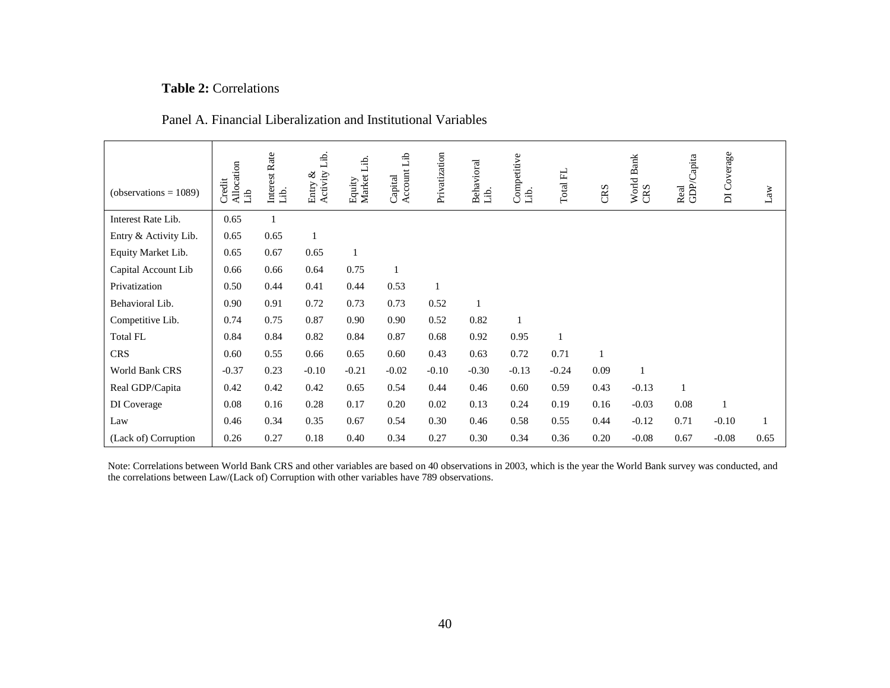#### **Table 2:** Correlations

#### Panel A. Financial Liberalization and Institutional Variables

| $(observations = 1089)$ | Allocation<br>Credit<br>dil | Interest Rate<br>áÈ. | áÈ.<br>Activity 1<br>ళ<br>Entry | Equity<br>Market Lib. | Capital<br>Account Lib | Privatization | Behavioral<br>áÈ. | Competitive<br>üЬ. | Total FL | CRS          | World Bank<br>CRS | Real<br>GDP/Capita | DI Coverage | Law  |
|-------------------------|-----------------------------|----------------------|---------------------------------|-----------------------|------------------------|---------------|-------------------|--------------------|----------|--------------|-------------------|--------------------|-------------|------|
| Interest Rate Lib.      | 0.65                        | $\mathbf{1}$         |                                 |                       |                        |               |                   |                    |          |              |                   |                    |             |      |
| Entry & Activity Lib.   | 0.65                        | 0.65                 |                                 |                       |                        |               |                   |                    |          |              |                   |                    |             |      |
| Equity Market Lib.      | 0.65                        | 0.67                 | 0.65                            | $\mathbf{1}$          |                        |               |                   |                    |          |              |                   |                    |             |      |
| Capital Account Lib     | 0.66                        | 0.66                 | 0.64                            | 0.75                  |                        |               |                   |                    |          |              |                   |                    |             |      |
| Privatization           | 0.50                        | 0.44                 | 0.41                            | 0.44                  | 0.53                   | 1             |                   |                    |          |              |                   |                    |             |      |
| Behavioral Lib.         | 0.90                        | 0.91                 | 0.72                            | 0.73                  | 0.73                   | 0.52          |                   |                    |          |              |                   |                    |             |      |
| Competitive Lib.        | 0.74                        | 0.75                 | 0.87                            | 0.90                  | 0.90                   | 0.52          | 0.82              |                    |          |              |                   |                    |             |      |
| <b>Total FL</b>         | 0.84                        | 0.84                 | 0.82                            | 0.84                  | 0.87                   | 0.68          | 0.92              | 0.95               | 1        |              |                   |                    |             |      |
| <b>CRS</b>              | 0.60                        | 0.55                 | 0.66                            | 0.65                  | 0.60                   | 0.43          | 0.63              | 0.72               | 0.71     | $\mathbf{1}$ |                   |                    |             |      |
| World Bank CRS          | $-0.37$                     | 0.23                 | $-0.10$                         | $-0.21$               | $-0.02$                | $-0.10$       | $-0.30$           | $-0.13$            | $-0.24$  | 0.09         |                   |                    |             |      |
| Real GDP/Capita         | 0.42                        | 0.42                 | 0.42                            | 0.65                  | 0.54                   | 0.44          | 0.46              | 0.60               | 0.59     | 0.43         | $-0.13$           | $\mathbf{1}$       |             |      |
| DI Coverage             | 0.08                        | 0.16                 | 0.28                            | 0.17                  | 0.20                   | 0.02          | 0.13              | 0.24               | 0.19     | 0.16         | $-0.03$           | 0.08               |             |      |
| Law                     | 0.46                        | 0.34                 | 0.35                            | 0.67                  | 0.54                   | 0.30          | 0.46              | 0.58               | 0.55     | 0.44         | $-0.12$           | 0.71               | $-0.10$     | 1    |
| (Lack of) Corruption    | 0.26                        | 0.27                 | 0.18                            | 0.40                  | 0.34                   | 0.27          | 0.30              | 0.34               | 0.36     | 0.20         | $-0.08$           | 0.67               | $-0.08$     | 0.65 |

Note: Correlations between World Bank CRS and other variables are based on 40 observations in 2003, which is the year the World Bank survey was conducted, and the correlations between Law/(Lack of) Corruption with other variables have 789 observations.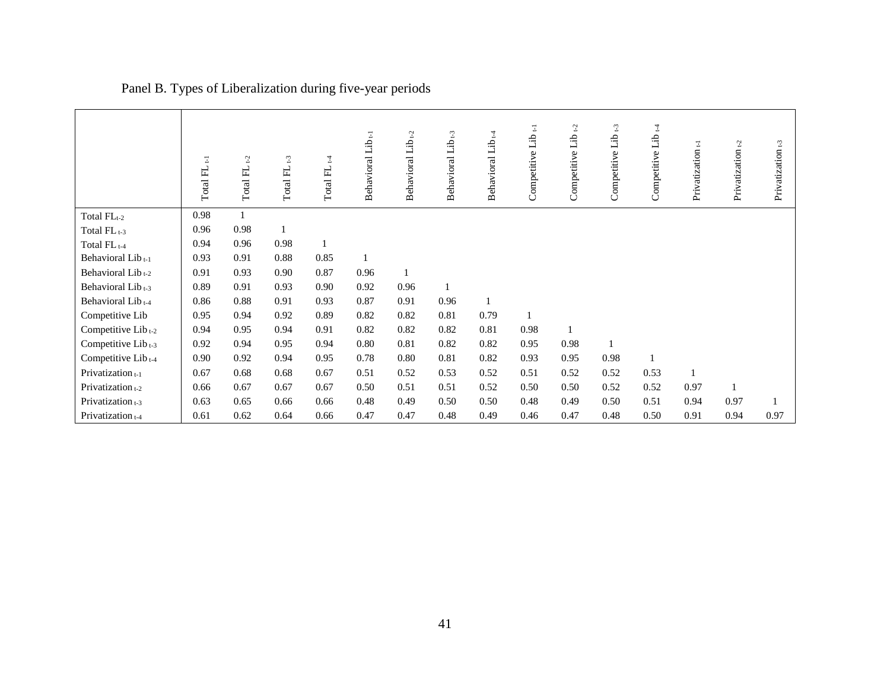|                                | Ξ<br>Total FL | $\mathfrak{L}$<br>Total FL | t <sub>3</sub><br>Total FL | 4<br>Total FL | Behavioral Lib <sub>t-1</sub> | Behavioral Lib <sub>t-2</sub> | $\operatorname{Lib}_{t\text{-}3}$<br>Behavioral | $Libt-4$<br>Behavioral | Ξ<br>Competitive Lib | Competitive Lib <sub>t-2</sub> | Competitive Lib <sub>t-3</sub> | Competitive Lib <sub>t4</sub> | Privatization <sub>t-1</sub> | t <sub>2</sub><br>Privatization | Privatization <sub>t-3</sub> |
|--------------------------------|---------------|----------------------------|----------------------------|---------------|-------------------------------|-------------------------------|-------------------------------------------------|------------------------|----------------------|--------------------------------|--------------------------------|-------------------------------|------------------------------|---------------------------------|------------------------------|
| Total FLt-2                    | 0.98          |                            |                            |               |                               |                               |                                                 |                        |                      |                                |                                |                               |                              |                                 |                              |
| Total FL <sub>t-3</sub>        | 0.96          | 0.98                       |                            |               |                               |                               |                                                 |                        |                      |                                |                                |                               |                              |                                 |                              |
| Total FL <sub>t-4</sub>        | 0.94          | 0.96                       | 0.98                       | $\mathbf{1}$  |                               |                               |                                                 |                        |                      |                                |                                |                               |                              |                                 |                              |
| Behavioral Lib <sub>t-1</sub>  | 0.93          | 0.91                       | 0.88                       | 0.85          |                               |                               |                                                 |                        |                      |                                |                                |                               |                              |                                 |                              |
| Behavioral Lib <sub>t-2</sub>  | 0.91          | 0.93                       | 0.90                       | 0.87          | 0.96                          | $\mathbf{1}$                  |                                                 |                        |                      |                                |                                |                               |                              |                                 |                              |
| Behavioral Lib <sub>t-3</sub>  | 0.89          | 0.91                       | 0.93                       | 0.90          | 0.92                          | 0.96                          |                                                 |                        |                      |                                |                                |                               |                              |                                 |                              |
| Behavioral Lib <sub>t-4</sub>  | 0.86          | $0.88\,$                   | 0.91                       | 0.93          | 0.87                          | 0.91                          | 0.96                                            | $\mathbf{1}$           |                      |                                |                                |                               |                              |                                 |                              |
| Competitive Lib                | 0.95          | 0.94                       | 0.92                       | 0.89          | 0.82                          | 0.82                          | 0.81                                            | 0.79                   |                      |                                |                                |                               |                              |                                 |                              |
| Competitive Lib <sub>t-2</sub> | 0.94          | 0.95                       | 0.94                       | 0.91          | 0.82                          | 0.82                          | 0.82                                            | 0.81                   | 0.98                 |                                |                                |                               |                              |                                 |                              |
| Competitive Lib <sub>t-3</sub> | 0.92          | 0.94                       | 0.95                       | 0.94          | 0.80                          | 0.81                          | 0.82                                            | 0.82                   | 0.95                 | 0.98                           |                                |                               |                              |                                 |                              |
| Competitive Lib <sub>t-4</sub> | 0.90          | 0.92                       | 0.94                       | 0.95          | 0.78                          | 0.80                          | 0.81                                            | 0.82                   | 0.93                 | 0.95                           | 0.98                           | $\mathbf{1}$                  |                              |                                 |                              |
| Privatization $_{t-1}$         | 0.67          | 0.68                       | 0.68                       | 0.67          | 0.51                          | 0.52                          | 0.53                                            | 0.52                   | 0.51                 | 0.52                           | 0.52                           | 0.53                          |                              |                                 |                              |
| Privatization $_{t-2}$         | 0.66          | 0.67                       | 0.67                       | 0.67          | 0.50                          | 0.51                          | 0.51                                            | 0.52                   | 0.50                 | 0.50                           | 0.52                           | 0.52                          | 0.97                         | 1                               |                              |
| Privatization $t-3$            | 0.63          | 0.65                       | 0.66                       | 0.66          | 0.48                          | 0.49                          | 0.50                                            | 0.50                   | 0.48                 | 0.49                           | 0.50                           | 0.51                          | 0.94                         | 0.97                            |                              |
| Privatization t-4              | 0.61          | 0.62                       | 0.64                       | 0.66          | 0.47                          | 0.47                          | 0.48                                            | 0.49                   | 0.46                 | 0.47                           | 0.48                           | 0.50                          | 0.91                         | 0.94                            | 0.97                         |

## Panel B. Types of Liberalization during five-year periods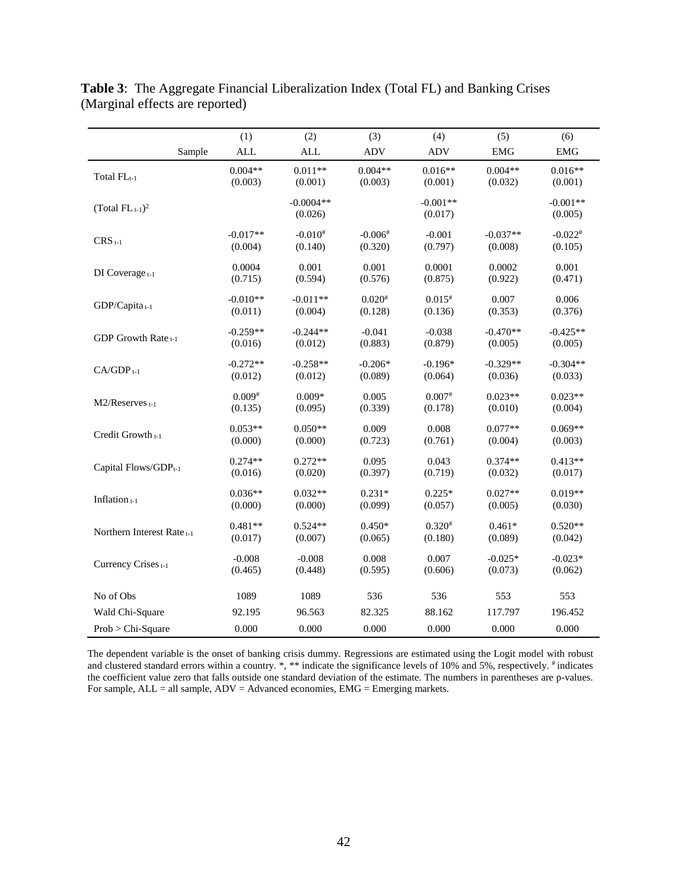|                                       | (1)        | (2)                    | (3)         | (4)                   | (5)        | (6)                   |
|---------------------------------------|------------|------------------------|-------------|-----------------------|------------|-----------------------|
| Sample                                | <b>ALL</b> | <b>ALL</b>             | <b>ADV</b>  | <b>ADV</b>            | <b>EMG</b> | <b>EMG</b>            |
| Total FLt-1                           | $0.004**$  | $0.011**$              | $0.004**$   | $0.016**$             | $0.004**$  | $0.016**$             |
|                                       | (0.003)    | (0.001)                | (0.003)     | (0.001)               | (0.032)    | (0.001)               |
| (Total $FL_{t-1}$ ) <sup>2</sup>      |            | $-0.0004**$<br>(0.026) |             | $-0.001**$<br>(0.017) |            | $-0.001**$<br>(0.005) |
| $CRS_{t-1}$                           | $-0.017**$ | $-0.010^{#}$           | $-0.006*$   | $-0.001$              | $-0.037**$ | $-0.022*$             |
|                                       | (0.004)    | (0.140)                | (0.320)     | (0.797)               | (0.008)    | (0.105)               |
| DI Coverage t-1                       | 0.0004     | 0.001                  | 0.001       | 0.0001                | 0.0002     | 0.001                 |
|                                       | (0.715)    | (0.594)                | (0.576)     | (0.875)               | (0.922)    | (0.471)               |
| GDP/Capita <sub>t-1</sub>             | $-0.010**$ | $-0.011**$             | $0.020^{#}$ | $0.015^{#}$           | 0.007      | 0.006                 |
|                                       | (0.011)    | (0.004)                | (0.128)     | (0.136)               | (0.353)    | (0.376)               |
| GDP Growth Rate <sub>t-1</sub>        | $-0.259**$ | $-0.244**$             | $-0.041$    | $-0.038$              | $-0.470**$ | $-0.425**$            |
|                                       | (0.016)    | (0.012)                | (0.883)     | (0.879)               | (0.005)    | (0.005)               |
| $CA/GDP_{t-1}$                        | $-0.272**$ | $-0.258**$             | $-0.206*$   | $-0.196*$             | $-0.329**$ | $-0.304**$            |
|                                       | (0.012)    | (0.012)                | (0.089)     | (0.064)               | (0.036)    | (0.033)               |
| $M2/Reserves$ <sub>t-1</sub>          | $0.009*$   | $0.009*$               | 0.005       | $0.007*$              | $0.023**$  | $0.023**$             |
|                                       | (0.135)    | (0.095)                | (0.339)     | (0.178)               | (0.010)    | (0.004)               |
| Credit Growth <sub>t-1</sub>          | $0.053**$  | $0.050**$              | 0.009       | 0.008                 | $0.077**$  | $0.069**$             |
|                                       | (0.000)    | (0.000)                | (0.723)     | (0.761)               | (0.004)    | (0.003)               |
| Capital Flows/GDP <sub>t-1</sub>      | $0.274**$  | $0.272**$              | 0.095       | 0.043                 | $0.374**$  | $0.413**$             |
|                                       | (0.016)    | (0.020)                | (0.397)     | (0.719)               | (0.032)    | (0.017)               |
| Inflation <sub>t-1</sub>              | $0.036**$  | $0.032**$              | $0.231*$    | $0.225*$              | $0.027**$  | $0.019**$             |
|                                       | (0.000)    | (0.000)                | (0.099)     | (0.057)               | (0.005)    | (0.030)               |
| Northern Interest Rate <sub>t-1</sub> | $0.481**$  | $0.524**$              | $0.450*$    | $0.320^{#}$           | $0.461*$   | $0.520**$             |
|                                       | (0.017)    | (0.007)                | (0.065)     | (0.180)               | (0.089)    | (0.042)               |
| Currency Crises t-1                   | $-0.008$   | $-0.008$               | 0.008       | 0.007                 | $-0.025*$  | $-0.023*$             |
|                                       | (0.465)    | (0.448)                | (0.595)     | (0.606)               | (0.073)    | (0.062)               |
| No of Obs                             | 1089       | 1089                   | 536         | 536                   | 553        | 553                   |
| Wald Chi-Square                       | 92.195     | 96.563                 | 82.325      | 88.162                | 117.797    | 196.452               |
| Prob > Chi-Square                     | 0.000      | 0.000                  | 0.000       | 0.000                 | 0.000      | 0.000                 |

**Table 3**: The Aggregate Financial Liberalization Index (Total FL) and Banking Crises (Marginal effects are reported)

The dependent variable is the onset of banking crisis dummy. Regressions are estimated using the Logit model with robust and clustered standard errors within a country.<sup>\*</sup>, \*\* indicate the significance levels of 10% and 5%, respectively.<sup>#</sup> indicates the coefficient value zero that falls outside one standard deviation of the estimate. The numbers in parentheses are p-values. For sample,  $ALL = all$  sample,  $ADV = Advanced$  economies,  $EMG =$  Emerging markets.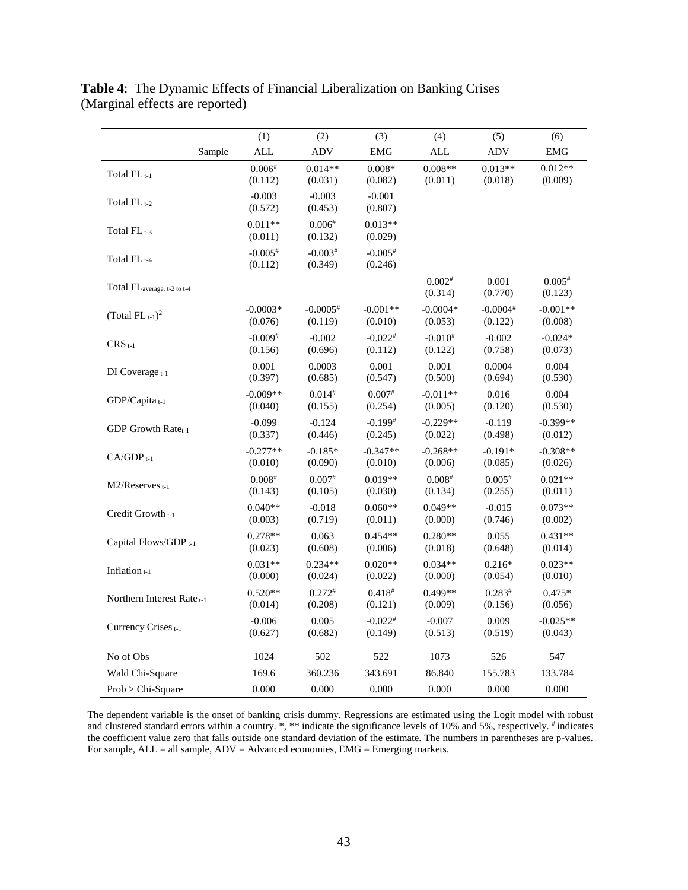|                                       |        | (1)                              | (2)                               | (3)                              | (4)                     | (5)                               | (6)                   |
|---------------------------------------|--------|----------------------------------|-----------------------------------|----------------------------------|-------------------------|-----------------------------------|-----------------------|
|                                       | Sample | $\mbox{ALL}$                     | ADV                               | <b>EMG</b>                       | $\mbox{ALL}$            | <b>ADV</b>                        | <b>EMG</b>            |
| Total FL <sub>t-1</sub>               |        | $0.006*$<br>(0.112)              | $0.014**$<br>(0.031)              | $0.008*$<br>(0.082)              | $0.008**$<br>(0.011)    | $0.013**$<br>(0.018)              | $0.012**$<br>(0.009)  |
| Total FL <sub>t-2</sub>               |        | $-0.003$<br>(0.572)              | $-0.003$<br>(0.453)               | $-0.001$<br>(0.807)              |                         |                                   |                       |
| Total FL <sub>t-3</sub>               |        | $0.011**$<br>(0.011)             | $0.006*$<br>(0.132)               | $0.013**$<br>(0.029)             |                         |                                   |                       |
| Total $FL_{t-4}$                      |        | $-0.005$ <sup>#</sup><br>(0.112) | $-0.003*$<br>(0.349)              | $-0.005*$<br>(0.246)             |                         |                                   |                       |
| Total FLaverage, t-2 to t-4           |        |                                  |                                   |                                  | $0.002*$<br>(0.314)     | 0.001<br>(0.770)                  | $0.005*$<br>(0.123)   |
| (Total $FL_{t-1}$ ) <sup>2</sup>      |        | $-0.0003*$<br>(0.076)            | $-0.0005$ <sup>#</sup><br>(0.119) | $-0.001**$<br>(0.010)            | $-0.0004*$<br>(0.053)   | $-0.0004$ <sup>#</sup><br>(0.122) | $-0.001**$<br>(0.008) |
| $CRS_{t-1}$                           |        | $-0.009$ <sup>#</sup><br>(0.156) | $-0.002$<br>(0.696)               | $-0.022$ <sup>#</sup><br>(0.112) | $-0.010^{#}$<br>(0.122) | $-0.002$<br>(0.758)               | $-0.024*$<br>(0.073)  |
| DI Coverage t-1                       |        | 0.001<br>(0.397)                 | 0.0003<br>(0.685)                 | 0.001<br>(0.547)                 | 0.001<br>(0.500)        | 0.0004<br>(0.694)                 | 0.004<br>(0.530)      |
| GDP/Capita <sub>t-1</sub>             |        | $-0.009**$<br>(0.040)            | $0.014^{#}$<br>(0.155)            | $0.007^{#}$<br>(0.254)           | $-0.011**$<br>(0.005)   | 0.016<br>(0.120)                  | 0.004<br>(0.530)      |
| GDP Growth Rate <sub>t-1</sub>        |        | $-0.099$<br>(0.337)              | $-0.124$<br>(0.446)               | $-0.199$ <sup>#</sup><br>(0.245) | $-0.229**$<br>(0.022)   | $-0.119$<br>(0.498)               | $-0.399**$<br>(0.012) |
| $CA/GDP_{t-1}$                        |        | $-0.277**$<br>(0.010)            | $-0.185*$<br>(0.090)              | $-0.347**$<br>(0.010)            | $-0.268**$<br>(0.006)   | $-0.191*$<br>(0.085)              | $-0.308**$<br>(0.026) |
| $M2/R$ eserves $t-1$                  |        | $0.008*$<br>(0.143)              | $0.007*$<br>(0.105)               | $0.019**$<br>(0.030)             | $0.008*$<br>(0.134)     | $0.005*$<br>(0.255)               | $0.021**$<br>(0.011)  |
| Credit Growth <sub>t-1</sub>          |        | $0.040**$<br>(0.003)             | $-0.018$<br>(0.719)               | $0.060**$<br>(0.011)             | $0.049**$<br>(0.000)    | $-0.015$<br>(0.746)               | $0.073**$<br>(0.002)  |
| Capital Flows/GDP <sub>t-1</sub>      |        | $0.278**$<br>(0.023)             | 0.063<br>(0.608)                  | $0.454**$<br>(0.006)             | $0.280**$<br>(0.018)    | 0.055<br>(0.648)                  | $0.431**$<br>(0.014)  |
| Inflation t-1                         |        | $0.031**$<br>(0.000)             | $0.234**$<br>(0.024)              | $0.020**$<br>(0.022)             | $0.034**$<br>(0.000)    | $0.216*$<br>(0.054)               | $0.023**$<br>(0.010)  |
| Northern Interest Rate <sub>t-1</sub> |        | $0.520**$<br>(0.014)             | $0.272*$<br>(0.208)               | $0.418^{#}$<br>(0.121)           | 0.499**<br>(0.009)      | $0.283*$<br>(0.156)               | $0.475*$<br>(0.056)   |
| Currency Crises t-1                   |        | $-0.006$<br>(0.627)              | 0.005<br>(0.682)                  | $-0.022$ <sup>#</sup><br>(0.149) | $-0.007$<br>(0.513)     | 0.009<br>(0.519)                  | $-0.025**$<br>(0.043) |
| No of Obs                             |        | 1024                             | 502                               | 522                              | 1073                    | 526                               | 547                   |
| Wald Chi-Square                       |        | 169.6                            | 360.236                           | 343.691                          | 86.840                  | 155.783                           | 133.784               |
| Prob > Chi-Square                     |        | 0.000                            | 0.000                             | 0.000                            | 0.000                   | 0.000                             | 0.000                 |

**Table 4**: The Dynamic Effects of Financial Liberalization on Banking Crises (Marginal effects are reported)

The dependent variable is the onset of banking crisis dummy. Regressions are estimated using the Logit model with robust and clustered standard errors within a country. \*, \*\* indicate the significance levels of 10% and 5%, respectively. # indicates the coefficient value zero that falls outside one standard deviation of the estimate. The numbers in parentheses are p-values. For sample,  $ALL = all$  sample,  $ADV = Advanced$  economies,  $EMG =$  Emerging markets.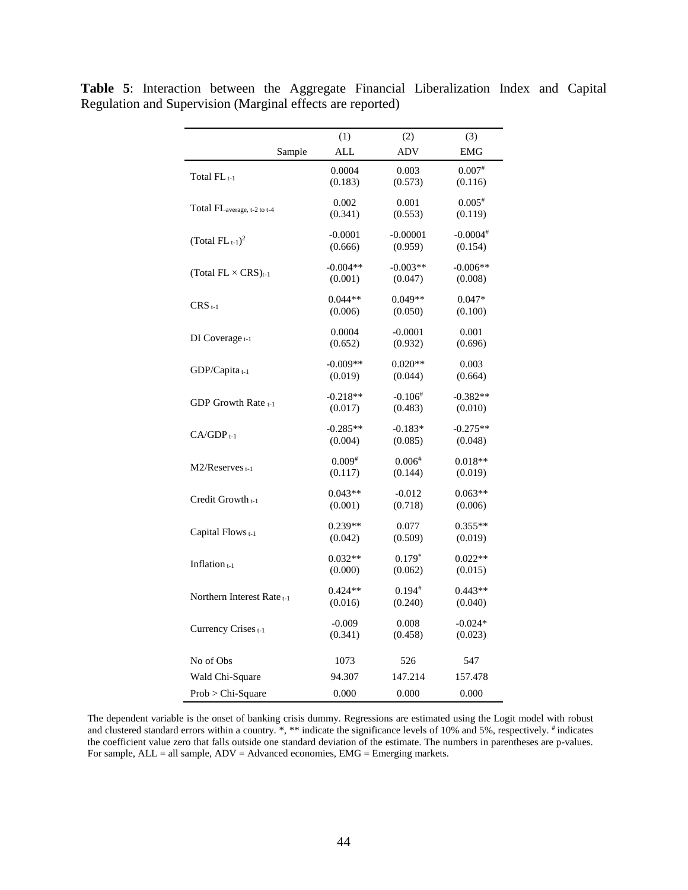|                                         | (1)                   | (2)                  | (3)                   |
|-----------------------------------------|-----------------------|----------------------|-----------------------|
| Sample                                  | ALL                   | <b>ADV</b>           | <b>EMG</b>            |
|                                         | 0.0004                | 0.003                | $0.007*$              |
| Total $FL_{t-1}$                        | (0.183)               | (0.573)              | (0.116)               |
|                                         | 0.002                 | 0.001                | $0.005*$              |
| Total FL <sub>average, t-2 to t-4</sub> | (0.341)               | (0.553)              | (0.119)               |
|                                         | $-0.0001$             | $-0.00001$           | $-0.0004*$            |
| (Total $FL_{t-1}$ ) <sup>2</sup>        | (0.666)               | (0.959)              | (0.154)               |
|                                         | $-0.004**$            | $-0.003**$           | $-0.006**$            |
| (Total $FL \times CRS$ ) <sub>t-1</sub> | (0.001)               | (0.047)              | (0.008)               |
|                                         | $0.044**$             | $0.049**$            | $0.047*$              |
| $CRS_{t-1}$                             | (0.006)               | (0.050)              | (0.100)               |
|                                         | 0.0004                | $-0.0001$            | 0.001                 |
| DI Coverage $t-1$                       | (0.652)               | (0.932)              | (0.696)               |
|                                         |                       | $0.020**$            |                       |
| $GDP/Capita_{t-1}$                      | $-0.009**$<br>(0.019) | (0.044)              | 0.003<br>(0.664)      |
|                                         |                       |                      |                       |
| GDP Growth Rate t-1                     | $-0.218**$<br>(0.017) | $-0.106*$<br>(0.483) | $-0.382**$<br>(0.010) |
|                                         |                       |                      |                       |
| $CA/GDP_{t-1}$                          | $-0.285**$<br>(0.004) | $-0.183*$<br>(0.085) | $-0.275**$            |
|                                         |                       |                      | (0.048)               |
| $M2/R$ eserves $t-1$                    | $0.009*$              | $0.006*$             | $0.018**$             |
|                                         | (0.117)               | (0.144)              | (0.019)               |
| Credit Growth <sub>t-1</sub>            | $0.043**$             | $-0.012$             | $0.063**$             |
|                                         | (0.001)               | (0.718)              | (0.006)               |
| Capital Flows t-1                       | $0.239**$             | 0.077                | $0.355**$             |
|                                         | (0.042)               | (0.509)              | (0.019)               |
|                                         | $0.032**$             | $0.179*$             | $0.022**$             |
| Inflation <sub>t-1</sub>                | (0.000)               | (0.062)              | (0.015)               |
|                                         | $0.424**$             | $0.194*$             | $0.443**$             |
| Northern Interest Rate <sub>t-1</sub>   | (0.016)               | (0.240)              | (0.040)               |
|                                         | $-0.009$              | 0.008                | $-0.024*$             |
| Currency Crises <sub>t-1</sub>          | (0.341)               | (0.458)              | (0.023)               |
|                                         |                       |                      |                       |
| No of Obs                               | 1073                  | 526                  | 547                   |
| Wald Chi-Square                         | 94.307                | 147.214              | 157.478               |
| Prob > Chi-Square                       | 0.000                 | 0.000                | 0.000                 |

**Table 5**: Interaction between the Aggregate Financial Liberalization Index and Capital Regulation and Supervision (Marginal effects are reported)

The dependent variable is the onset of banking crisis dummy. Regressions are estimated using the Logit model with robust and clustered standard errors within a country. \*, \*\* indicate the significance levels of 10% and 5%, respectively. # indicates the coefficient value zero that falls outside one standard deviation of the estimate. The numbers in parentheses are p-values. For sample,  $ALL = all$  sample,  $ADV = Advanced$  economies,  $EMG =$  Emerging markets.